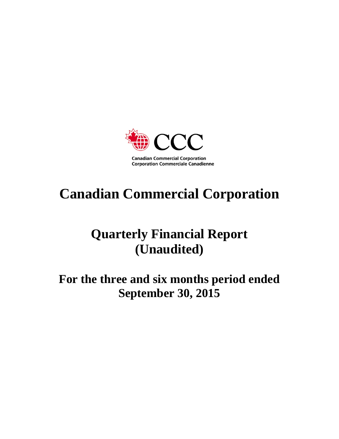

# **Canadian Commercial Corporation**

# **Quarterly Financial Report (Unaudited)**

# **For the three and six months period ended September 30, 2015**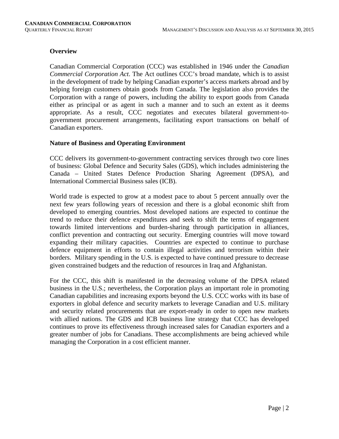# **Overview**

Canadian Commercial Corporation (CCC) was established in 1946 under the *Canadian Commercial Corporation Act*. The Act outlines CCC's broad mandate, which is to assist in the development of trade by helping Canadian exporter's access markets abroad and by helping foreign customers obtain goods from Canada. The legislation also provides the Corporation with a range of powers, including the ability to export goods from Canada either as principal or as agent in such a manner and to such an extent as it deems appropriate. As a result, CCC negotiates and executes bilateral government-togovernment procurement arrangements, facilitating export transactions on behalf of Canadian exporters.

#### **Nature of Business and Operating Environment**

CCC delivers its government-to-government contracting services through two core lines of business: Global Defence and Security Sales (GDS), which includes administering the Canada – United States Defence Production Sharing Agreement (DPSA), and International Commercial Business sales (ICB).

World trade is expected to grow at a modest pace to about 5 percent annually over the next few years following years of recession and there is a global economic shift from developed to emerging countries. Most developed nations are expected to continue the trend to reduce their defence expenditures and seek to shift the terms of engagement towards limited interventions and burden-sharing through participation in alliances, conflict prevention and contracting out security. Emerging countries will move toward expanding their military capacities. Countries are expected to continue to purchase defence equipment in efforts to contain illegal activities and terrorism within their borders. Military spending in the U.S. is expected to have continued pressure to decrease given constrained budgets and the reduction of resources in Iraq and Afghanistan.

For the CCC, this shift is manifested in the decreasing volume of the DPSA related business in the U.S.; nevertheless, the Corporation plays an important role in promoting Canadian capabilities and increasing exports beyond the U.S. CCC works with its base of exporters in global defence and security markets to leverage Canadian and U.S. military and security related procurements that are export-ready in order to open new markets with allied nations. The GDS and ICB business line strategy that CCC has developed continues to prove its effectiveness through increased sales for Canadian exporters and a greater number of jobs for Canadians. These accomplishments are being achieved while managing the Corporation in a cost efficient manner.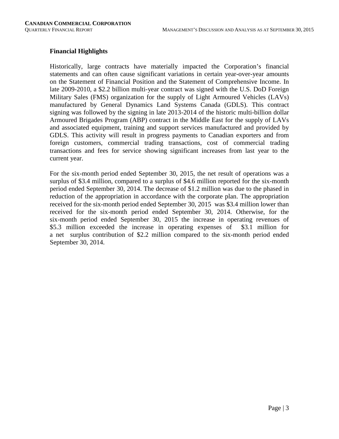# **Financial Highlights**

Historically, large contracts have materially impacted the Corporation's financial statements and can often cause significant variations in certain year-over-year amounts on the Statement of Financial Position and the Statement of Comprehensive Income. In late 2009-2010, a \$2.2 billion multi-year contract was signed with the U.S. DoD Foreign Military Sales (FMS) organization for the supply of Light Armoured Vehicles (LAVs) manufactured by General Dynamics Land Systems Canada (GDLS). This contract signing was followed by the signing in late 2013-2014 of the historic multi-billion dollar Armoured Brigades Program (ABP) contract in the Middle East for the supply of LAVs and associated equipment, training and support services manufactured and provided by GDLS. This activity will result in progress payments to Canadian exporters and from foreign customers, commercial trading transactions, cost of commercial trading transactions and fees for service showing significant increases from last year to the current year.

For the six-month period ended September 30, 2015, the net result of operations was a surplus of \$3.4 million, compared to a surplus of \$4.6 million reported for the six-month period ended September 30, 2014. The decrease of \$1.2 million was due to the phased in reduction of the appropriation in accordance with the corporate plan. The appropriation received for the six-month period ended September 30, 2015 was \$3.4 million lower than received for the six-month period ended September 30, 2014. Otherwise, for the six-month period ended September 30, 2015 the increase in operating revenues of \$5.3 million exceeded the increase in operating expenses of \$3.1 million for a net surplus contribution of \$2.2 million compared to the six-month period ended September 30, 2014.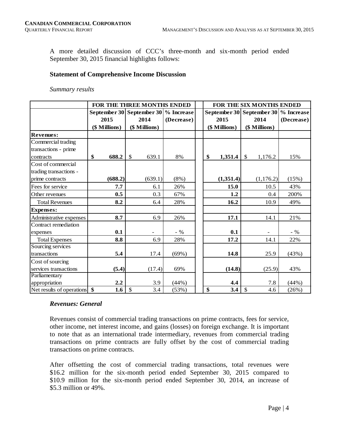A more detailed discussion of CCC's three-month and six-month period ended September 30, 2015 financial highlights follows:

#### **Statement of Comprehensive Income Discussion**

#### *Summary results*

|                         |               | FOR THE THREE MONTHS ENDED           |            | FOR THE SIX MONTHS ENDED |               |               |               |                                      |  |  |  |
|-------------------------|---------------|--------------------------------------|------------|--------------------------|---------------|---------------|---------------|--------------------------------------|--|--|--|
|                         |               | September 30 September 30 % Increase |            |                          |               |               |               | September 30 September 30 % Increase |  |  |  |
|                         | 2015          | 2014                                 | (Decrease) |                          | 2015          |               | 2014          | (Decrease)                           |  |  |  |
|                         | (\$ Millions) | (\$ Millions)                        |            |                          | (\$ Millions) |               | (\$ Millions) |                                      |  |  |  |
| <b>Revenues:</b>        |               |                                      |            |                          |               |               |               |                                      |  |  |  |
| Commercial trading      |               |                                      |            |                          |               |               |               |                                      |  |  |  |
| transactions - prime    |               |                                      |            |                          |               |               |               |                                      |  |  |  |
| contracts               | \$<br>688.2   | \$<br>639.1                          | 8%         | \$                       | 1,351.4       | $\mathcal{S}$ | 1,176.2       | 15%                                  |  |  |  |
| Cost of commercial      |               |                                      |            |                          |               |               |               |                                      |  |  |  |
| trading transactions -  |               |                                      |            |                          |               |               |               |                                      |  |  |  |
| prime contracts         | (688.2)       | (639.1)                              | $(8\%)$    |                          | (1,351.4)     |               | (1, 176.2)    | (15%)                                |  |  |  |
| Fees for service        | 7.7           | 6.1                                  | 26%        |                          | 15.0          |               | 10.5          | 43%                                  |  |  |  |
| Other revenues          | 0.5           | 0.3                                  | 67%        |                          | 1.2           |               | 0.4           | 200%                                 |  |  |  |
| <b>Total Revenues</b>   | 8.2           | 6.4                                  | 28%        |                          | 16.2          |               | 10.9          | 49%                                  |  |  |  |
| <b>Expenses:</b>        |               |                                      |            |                          |               |               |               |                                      |  |  |  |
| Administrative expenses | 8.7           | 6.9                                  | 26%        |                          | 17.1          |               | 14.1          | 21%                                  |  |  |  |
| Contract remediation    |               |                                      |            |                          |               |               |               |                                      |  |  |  |
| expenses                | 0.1           |                                      | $-$ %      |                          | 0.1           |               |               | $-$ %                                |  |  |  |
| <b>Total Expenses</b>   | 8.8           | 6.9                                  | 28%        |                          | 17.2          |               | 14.1          | 22%                                  |  |  |  |
| Sourcing services       |               |                                      |            |                          |               |               |               |                                      |  |  |  |
| transactions            | 5.4           | 17.4                                 | (69%)      |                          | 14.8          |               | 25.9          | (43%)                                |  |  |  |
| Cost of sourcing        |               |                                      |            |                          |               |               |               |                                      |  |  |  |
| services transactions   | (5.4)         | (17.4)                               | 69%        |                          | (14.8)        |               | (25.9)        | 43%                                  |  |  |  |
| Parliamentary           |               |                                      |            |                          |               |               |               |                                      |  |  |  |
| appropriation           | 2.2           | 3.9                                  | (44%)      |                          | 4.4           |               | 7.8           | (44%)                                |  |  |  |
|                         | 1.6           | $\mathcal{S}$<br>3.4                 | (53%)      | \$                       | 3.4           | \$            | 4.6           | (26%)                                |  |  |  |

#### *Revenues: General*

Revenues consist of commercial trading transactions on prime contracts, fees for service, other income, net interest income, and gains (losses) on foreign exchange. It is important to note that as an international trade intermediary, revenues from commercial trading transactions on prime contracts are fully offset by the cost of commercial trading transactions on prime contracts.

After offsetting the cost of commercial trading transactions, total revenues were \$16.2 million for the six-month period ended September 30, 2015 compared to \$10.9 million for the six-month period ended September 30, 2014, an increase of \$5.3 million or 49%.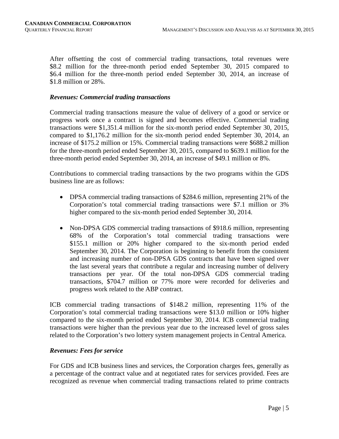After offsetting the cost of commercial trading transactions, total revenues were \$8.2 million for the three-month period ended September 30, 2015 compared to \$6.4 million for the three-month period ended September 30, 2014, an increase of \$1.8 million or 28%.

#### *Revenues: Commercial trading transactions*

Commercial trading transactions measure the value of delivery of a good or service or progress work once a contract is signed and becomes effective. Commercial trading transactions were \$1,351.4 million for the six-month period ended September 30, 2015, compared to \$1,176.2 million for the six-month period ended September 30, 2014, an increase of \$175.2 million or 15%. Commercial trading transactions were \$688.2 million for the three-month period ended September 30, 2015, compared to \$639.1 million for the three-month period ended September 30, 2014, an increase of \$49.1 million or 8%.

Contributions to commercial trading transactions by the two programs within the GDS business line are as follows:

- DPSA commercial trading transactions of \$284.6 million, representing 21% of the Corporation's total commercial trading transactions were \$7.1 million or 3% higher compared to the six-month period ended September 30, 2014.
- Non-DPSA GDS commercial trading transactions of \$918.6 million, representing 68% of the Corporation's total commercial trading transactions were \$155.1 million or 20% higher compared to the six-month period ended September 30, 2014. The Corporation is beginning to benefit from the consistent and increasing number of non-DPSA GDS contracts that have been signed over the last several years that contribute a regular and increasing number of delivery transactions per year. Of the total non-DPSA GDS commercial trading transactions, \$704.7 million or 77% more were recorded for deliveries and progress work related to the ABP contract.

ICB commercial trading transactions of \$148.2 million, representing 11% of the Corporation's total commercial trading transactions were \$13.0 million or 10% higher compared to the six-month period ended September 30, 2014. ICB commercial trading transactions were higher than the previous year due to the increased level of gross sales related to the Corporation's two lottery system management projects in Central America.

#### *Revenues: Fees for service*

For GDS and ICB business lines and services, the Corporation charges fees, generally as a percentage of the contract value and at negotiated rates for services provided. Fees are recognized as revenue when commercial trading transactions related to prime contracts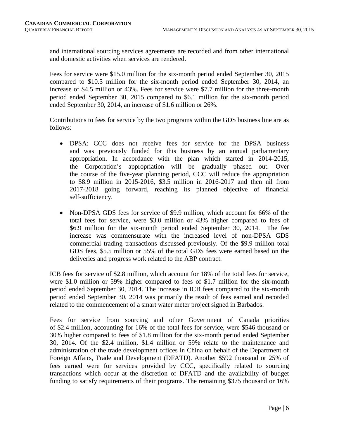and international sourcing services agreements are recorded and from other international and domestic activities when services are rendered.

Fees for service were \$15.0 million for the six-month period ended September 30, 2015 compared to \$10.5 million for the six-month period ended September 30, 2014, an increase of \$4.5 million or 43%. Fees for service were \$7.7 million for the three-month period ended September 30, 2015 compared to \$6.1 million for the six-month period ended September 30, 2014, an increase of \$1.6 million or 26%.

Contributions to fees for service by the two programs within the GDS business line are as follows:

- DPSA: CCC does not receive fees for service for the DPSA business and was previously funded for this business by an annual parliamentary appropriation. In accordance with the plan which started in 2014-2015, the Corporation's appropriation will be gradually phased out. Over the course of the five-year planning period, CCC will reduce the appropriation to \$8.9 million in 2015-2016, \$3.5 million in 2016-2017 and then nil from 2017-2018 going forward, reaching its planned objective of financial self-sufficiency.
- Non-DPSA GDS fees for service of \$9.9 million, which account for 66% of the total fees for service, were \$3.0 million or 43% higher compared to fees of \$6.9 million for the six-month period ended September 30, 2014. The fee increase was commensurate with the increased level of non-DPSA GDS commercial trading transactions discussed previously. Of the \$9.9 million total GDS fees, \$5.5 million or 55% of the total GDS fees were earned based on the deliveries and progress work related to the ABP contract.

ICB fees for service of \$2.8 million, which account for 18% of the total fees for service, were \$1.0 million or 59% higher compared to fees of \$1.7 million for the six-month period ended September 30, 2014. The increase in ICB fees compared to the six-month period ended September 30, 2014 was primarily the result of fees earned and recorded related to the commencement of a smart water meter project signed in Barbados.

Fees for service from sourcing and other Government of Canada priorities of \$2.4 million, accounting for 16% of the total fees for service, were \$546 thousand or 30% higher compared to fees of \$1.8 million for the six-month period ended September 30, 2014. Of the \$2.4 million, \$1.4 million or 59% relate to the maintenance and administration of the trade development offices in China on behalf of the Department of Foreign Affairs, Trade and Development (DFATD). Another \$592 thousand or 25% of fees earned were for services provided by CCC, specifically related to sourcing transactions which occur at the discretion of DFATD and the availability of budget funding to satisfy requirements of their programs. The remaining \$375 thousand or 16%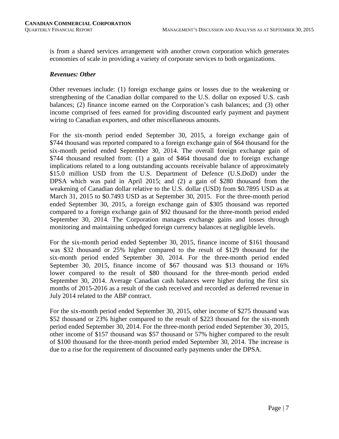is from a shared services arrangement with another crown corporation which generates economies of scale in providing a variety of corporate services to both organizations.

#### *Revenues: Other*

Other revenues include: (1) foreign exchange gains or losses due to the weakening or strengthening of the Canadian dollar compared to the U.S. dollar on exposed U.S. cash balances; (2) finance income earned on the Corporation's cash balances; and (3) other income comprised of fees earned for providing discounted early payment and payment wiring to Canadian exporters, and other miscellaneous amounts.

For the six-month period ended September 30, 2015, a foreign exchange gain of \$744 thousand was reported compared to a foreign exchange gain of \$64 thousand for the six-month period ended September 30, 2014. The overall foreign exchange gain of \$744 thousand resulted from: (1) a gain of \$464 thousand due to foreign exchange implications related to a long outstanding accounts receivable balance of approximately \$15.0 million USD from the U.S. Department of Defence (U.S.DoD) under the DPSA which was paid in April 2015; and (2) a gain of \$280 thousand from the weakening of Canadian dollar relative to the U.S. dollar (USD) from \$0.7895 USD as at March 31, 2015 to \$0.7493 USD as at September 30, 2015. For the three-month period ended September 30, 2015, a foreign exchange gain of \$305 thousand was reported compared to a foreign exchange gain of \$92 thousand for the three-month period ended September 30, 2014. The Corporation manages exchange gains and losses through monitoring and maintaining unhedged foreign currency balances at negligible levels.

For the six-month period ended September 30, 2015, finance income of \$161 thousand was \$32 thousand or 25% higher compared to the result of \$129 thousand for the six-month period ended September 30, 2014. For the three-month period ended September 30, 2015, finance income of \$67 thousand was \$13 thousand or 16% lower compared to the result of \$80 thousand for the three-month period ended September 30, 2014. Average Canadian cash balances were higher during the first six months of 2015-2016 as a result of the cash received and recorded as deferred revenue in July 2014 related to the ABP contract.

For the six-month period ended September 30, 2015, other income of \$275 thousand was \$52 thousand or 23% higher compared to the result of \$223 thousand for the six-month period ended September 30, 2014. For the three-month period ended September 30, 2015, other income of \$157 thousand was \$57 thousand or 57% higher compared to the result of \$100 thousand for the three-month period ended September 30, 2014. The increase is due to a rise for the requirement of discounted early payments under the DPSA.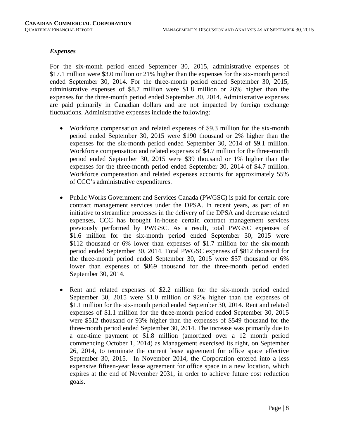#### *Expenses*

For the six-month period ended September 30, 2015, administrative expenses of \$17.1 million were \$3.0 million or 21% higher than the expenses for the six-month period ended September 30, 2014. For the three-month period ended September 30, 2015, administrative expenses of \$8.7 million were \$1.8 million or 26% higher than the expenses for the three-month period ended September 30, 2014. Administrative expenses are paid primarily in Canadian dollars and are not impacted by foreign exchange fluctuations. Administrative expenses include the following:

- Workforce compensation and related expenses of \$9.3 million for the six-month period ended September 30, 2015 were \$190 thousand or 2% higher than the expenses for the six-month period ended September 30, 2014 of \$9.1 million. Workforce compensation and related expenses of \$4.7 million for the three-month period ended September 30, 2015 were \$39 thousand or 1% higher than the expenses for the three-month period ended September 30, 2014 of \$4.7 million. Workforce compensation and related expenses accounts for approximately 55% of CCC's administrative expenditures.
- Public Works Government and Services Canada (PWGSC) is paid for certain core contract management services under the DPSA. In recent years, as part of an initiative to streamline processes in the delivery of the DPSA and decrease related expenses, CCC has brought in-house certain contract management services previously performed by PWGSC. As a result, total PWGSC expenses of \$1.6 million for the six-month period ended September 30, 2015 were \$112 thousand or 6% lower than expenses of \$1.7 million for the six-month period ended September 30, 2014. Total PWGSC expenses of \$812 thousand for the three-month period ended September 30, 2015 were \$57 thousand or 6% lower than expenses of \$869 thousand for the three-month period ended September 30, 2014.
- Rent and related expenses of \$2.2 million for the six-month period ended September 30, 2015 were \$1.0 million or 92% higher than the expenses of \$1.1 million for the six-month period ended September 30, 2014. Rent and related expenses of \$1.1 million for the three-month period ended September 30, 2015 were \$512 thousand or 93% higher than the expenses of \$549 thousand for the three-month period ended September 30, 2014. The increase was primarily due to a one-time payment of \$1.8 million (amortized over a 12 month period commencing October 1, 2014) as Management exercised its right, on September 26, 2014, to terminate the current lease agreement for office space effective September 30, 2015. In November 2014, the Corporation entered into a less expensive fifteen-year lease agreement for office space in a new location, which expires at the end of November 2031, in order to achieve future cost reduction goals.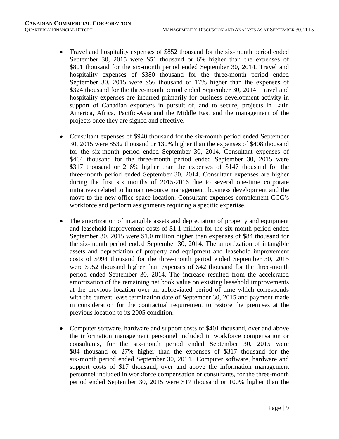- Travel and hospitality expenses of \$852 thousand for the six-month period ended September 30, 2015 were \$51 thousand or 6% higher than the expenses of \$801 thousand for the six-month period ended September 30, 2014. Travel and hospitality expenses of \$380 thousand for the three-month period ended September 30, 2015 were \$56 thousand or 17% higher than the expenses of \$324 thousand for the three-month period ended September 30, 2014. Travel and hospitality expenses are incurred primarily for business development activity in support of Canadian exporters in pursuit of, and to secure, projects in Latin America, Africa, Pacific-Asia and the Middle East and the management of the projects once they are signed and effective.
- Consultant expenses of \$940 thousand for the six-month period ended September 30, 2015 were \$532 thousand or 130% higher than the expenses of \$408 thousand for the six-month period ended September 30, 2014. Consultant expenses of \$464 thousand for the three-month period ended September 30, 2015 were \$317 thousand or 216% higher than the expenses of \$147 thousand for the three-month period ended September 30, 2014. Consultant expenses are higher during the first six months of 2015-2016 due to several one-time corporate initiatives related to human resource management, business development and the move to the new office space location. Consultant expenses complement CCC's workforce and perform assignments requiring a specific expertise.
- The amortization of intangible assets and depreciation of property and equipment and leasehold improvement costs of \$1.1 million for the six-month period ended September 30, 2015 were \$1.0 million higher than expenses of \$84 thousand for the six-month period ended September 30, 2014. The amortization of intangible assets and depreciation of property and equipment and leasehold improvement costs of \$994 thousand for the three-month period ended September 30, 2015 were \$952 thousand higher than expenses of \$42 thousand for the three-month period ended September 30, 2014. The increase resulted from the accelerated amortization of the remaining net book value on existing leasehold improvements at the previous location over an abbreviated period of time which corresponds with the current lease termination date of September 30, 2015 and payment made in consideration for the contractual requirement to restore the premises at the previous location to its 2005 condition.
- Computer software, hardware and support costs of \$401 thousand, over and above the information management personnel included in workforce compensation or consultants, for the six-month period ended September 30, 2015 were \$84 thousand or 27% higher than the expenses of \$317 thousand for the six-month period ended September 30, 2014. Computer software, hardware and support costs of \$17 thousand, over and above the information management personnel included in workforce compensation or consultants, for the three-month period ended September 30, 2015 were \$17 thousand or 100% higher than the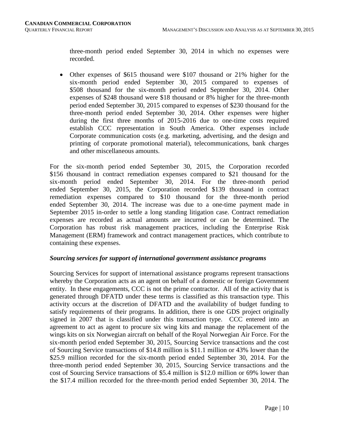three-month period ended September 30, 2014 in which no expenses were recorded.

• Other expenses of \$615 thousand were \$107 thousand or 21% higher for the six-month period ended September 30, 2015 compared to expenses of \$508 thousand for the six-month period ended September 30, 2014. Other expenses of \$248 thousand were \$18 thousand or 8% higher for the three-month period ended September 30, 2015 compared to expenses of \$230 thousand for the three-month period ended September 30, 2014. Other expenses were higher during the first three months of 2015-2016 due to one-time costs required establish CCC representation in South America. Other expenses include Corporate communication costs (e.g. marketing, advertising, and the design and printing of corporate promotional material), telecommunications, bank charges and other miscellaneous amounts.

For the six-month period ended September 30, 2015, the Corporation recorded \$156 thousand in contract remediation expenses compared to \$21 thousand for the six-month period ended September 30, 2014. For the three-month period ended September 30, 2015, the Corporation recorded \$139 thousand in contract remediation expenses compared to \$10 thousand for the three-month period ended September 30, 2014. The increase was due to a one-time payment made in September 2015 in-order to settle a long standing litigation case. Contract remediation expenses are recorded as actual amounts are incurred or can be determined. The Corporation has robust risk management practices, including the Enterprise Risk Management (ERM) framework and contract management practices, which contribute to containing these expenses.

#### *Sourcing services for support of international government assistance programs*

Sourcing Services for support of international assistance programs represent transactions whereby the Corporation acts as an agent on behalf of a domestic or foreign Government entity. In these engagements, CCC is not the prime contractor. All of the activity that is generated through DFATD under these terms is classified as this transaction type. This activity occurs at the discretion of DFATD and the availability of budget funding to satisfy requirements of their programs. In addition, there is one GDS project originally signed in 2007 that is classified under this transaction type. CCC entered into an agreement to act as agent to procure six wing kits and manage the replacement of the wings kits on six Norwegian aircraft on behalf of the Royal Norwegian Air Force. For the six-month period ended September 30, 2015, Sourcing Service transactions and the cost of Sourcing Service transactions of \$14.8 million is \$11.1 million or 43% lower than the \$25.9 million recorded for the six-month period ended September 30, 2014. For the three-month period ended September 30, 2015, Sourcing Service transactions and the cost of Sourcing Service transactions of \$5.4 million is \$12.0 million or 69% lower than the \$17.4 million recorded for the three-month period ended September 30, 2014. The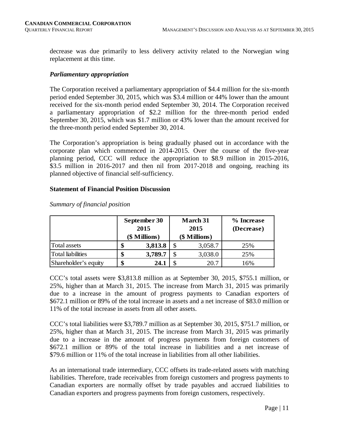decrease was due primarily to less delivery activity related to the Norwegian wing replacement at this time.

#### *Parliamentary appropriation*

The Corporation received a parliamentary appropriation of \$4.4 million for the six-month period ended September 30, 2015, which was \$3.4 million or 44% lower than the amount received for the six-month period ended September 30, 2014. The Corporation received a parliamentary appropriation of \$2.2 million for the three-month period ended September 30, 2015, which was \$1.7 million or 43% lower than the amount received for the three-month period ended September 30, 2014.

The Corporation's appropriation is being gradually phased out in accordance with the corporate plan which commenced in 2014-2015. Over the course of the five-year planning period, CCC will reduce the appropriation to \$8.9 million in 2015-2016, \$3.5 million in 2016-2017 and then nil from 2017-2018 and ongoing, reaching its planned objective of financial self-sufficiency.

#### **Statement of Financial Position Discussion**

|                          | September 30<br>2015<br>(\$ Millions) |    | March 31<br>2015<br>(\$ Millions) | % Increase<br>(Decrease) |  |  |
|--------------------------|---------------------------------------|----|-----------------------------------|--------------------------|--|--|
| Total assets             | \$<br>3,813.8                         | Φ  | 3,058.7                           | 25%                      |  |  |
| <b>Total liabilities</b> | \$<br>3,789.7                         | \$ | 3,038.0                           | 25%                      |  |  |
| Shareholder's equity     | \$<br>24.1                            |    | 20.7                              | 16%                      |  |  |

*Summary of financial position*

CCC's total assets were \$3,813.8 million as at September 30, 2015, \$755.1 million, or 25%, higher than at March 31, 2015. The increase from March 31, 2015 was primarily due to a increase in the amount of progress payments to Canadian exporters of \$672.1 million or 89% of the total increase in assets and a net increase of \$83.0 million or 11% of the total increase in assets from all other assets.

CCC's total liabilities were \$3,789.7 million as at September 30, 2015, \$751.7 million, or 25%, higher than at March 31, 2015. The increase from March 31, 2015 was primarily due to a increase in the amount of progress payments from foreign customers of \$672.1 million or 89% of the total increase in liabilities and a net increase of \$79.6 million or 11% of the total increase in liabilities from all other liabilities.

As an international trade intermediary, CCC offsets its trade-related assets with matching liabilities. Therefore, trade receivables from foreign customers and progress payments to Canadian exporters are normally offset by trade payables and accrued liabilities to Canadian exporters and progress payments from foreign customers, respectively.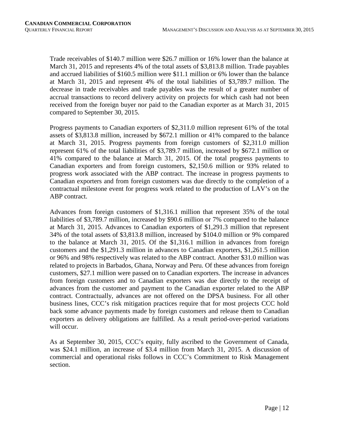Trade receivables of \$140.7 million were \$26.7 million or 16% lower than the balance at March 31, 2015 and represents 4% of the total assets of \$3,813.8 million. Trade payables and accrued liabilities of \$160.5 million were \$11.1 million or 6% lower than the balance at March 31, 2015 and represent 4% of the total liabilities of \$3,789.7 million. The decrease in trade receivables and trade payables was the result of a greater number of accrual transactions to record delivery activity on projects for which cash had not been received from the foreign buyer nor paid to the Canadian exporter as at March 31, 2015 compared to September 30, 2015.

Progress payments to Canadian exporters of \$2,311.0 million represent 61% of the total assets of \$3,813.8 million, increased by \$672.1 million or 41% compared to the balance at March 31, 2015. Progress payments from foreign customers of \$2,311.0 million represent 61% of the total liabilities of \$3,789.7 million, increased by \$672.1 million or 41% compared to the balance at March 31, 2015. Of the total progress payments to Canadian exporters and from foreign customers, \$2,150.6 million or 93% related to progress work associated with the ABP contract. The increase in progress payments to Canadian exporters and from foreign customers was due directly to the completion of a contractual milestone event for progress work related to the production of LAV's on the ABP contract.

Advances from foreign customers of \$1,316.1 million that represent 35% of the total liabilities of \$3,789.7 million, increased by \$90.6 million or 7% compared to the balance at March 31, 2015. Advances to Canadian exporters of \$1,291.3 million that represent 34% of the total assets of \$3,813.8 million, increased by \$104.0 million or 9% compared to the balance at March 31, 2015. Of the \$1,316.1 million in advances from foreign customers and the \$1,291.3 million in advances to Canadian exporters, \$1,261.5 million or 96% and 98% respectively was related to the ABP contract. Another \$31.0 million was related to projects in Barbados, Ghana, Norway and Peru. Of these advances from foreign customers, \$27.1 million were passed on to Canadian exporters. The increase in advances from foreign customers and to Canadian exporters was due directly to the receipt of advances from the customer and payment to the Canadian exporter related to the ABP contract. Contractually, advances are not offered on the DPSA business. For all other business lines, CCC's risk mitigation practices require that for most projects CCC hold back some advance payments made by foreign customers and release them to Canadian exporters as delivery obligations are fulfilled. As a result period-over-period variations will occur.

As at September 30, 2015, CCC's equity, fully ascribed to the Government of Canada, was \$24.1 million, an increase of \$3.4 million from March 31, 2015. A discussion of commercial and operational risks follows in CCC's Commitment to Risk Management section.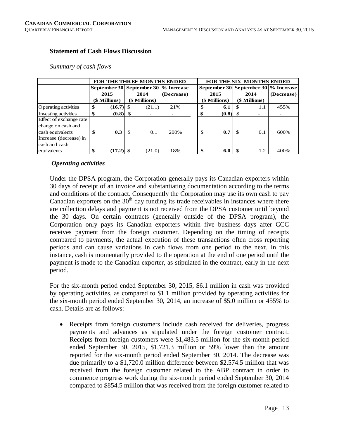## **Statement of Cash Flows Discussion**

#### *Summary of cash flows*

|                             | <b>FOR THE THREE MONTHS ENDED</b> |      |               |                                      |  |  | FOR THE SIX MONTHS ENDED             |     |               |            |  |  |  |
|-----------------------------|-----------------------------------|------|---------------|--------------------------------------|--|--|--------------------------------------|-----|---------------|------------|--|--|--|
|                             |                                   |      |               | September 30 September 30 % Increase |  |  | September 30 September 30 % Increase |     |               |            |  |  |  |
|                             | 2015                              |      | 2014          | (Decrease)                           |  |  | 2015                                 |     | 2014          | (Decrease) |  |  |  |
|                             | (\$ Millions)                     |      | (\$ Millions) |                                      |  |  | (\$ Millions)                        |     | (\$ Millions) |            |  |  |  |
| <b>Operating activities</b> | \$                                |      | (21.1)        | 21%                                  |  |  | 6.1                                  | S   | 1.1           | 455%       |  |  |  |
| Investing activities        | \$                                |      |               |                                      |  |  | (0.8)                                |     |               |            |  |  |  |
| Effect of exchange rate     |                                   |      |               |                                      |  |  |                                      |     |               |            |  |  |  |
| change on cash and          |                                   |      |               |                                      |  |  |                                      |     |               |            |  |  |  |
| cash equivalents            | \$<br>0.3                         | - \$ | 0.1           | 200%                                 |  |  | 0.7                                  | -\$ | 0.1           | 600%       |  |  |  |
| Increase (decrease) in      |                                   |      |               |                                      |  |  |                                      |     |               |            |  |  |  |
| cash and cash               |                                   |      |               |                                      |  |  |                                      |     |               |            |  |  |  |
| equivalents                 | \$                                |      | (21.0)        | 18%                                  |  |  | 6.0                                  |     | 1.2           | 400%       |  |  |  |

# *Operating activities*

Under the DPSA program, the Corporation generally pays its Canadian exporters within 30 days of receipt of an invoice and substantiating documentation according to the terms and conditions of the contract. Consequently the Corporation may use its own cash to pay Canadian exporters on the  $30<sup>th</sup>$  day funding its trade receivables in instances where there are collection delays and payment is not received from the DPSA customer until beyond the 30 days. On certain contracts (generally outside of the DPSA program), the Corporation only pays its Canadian exporters within five business days after CCC receives payment from the foreign customer. Depending on the timing of receipts compared to payments, the actual execution of these transactions often cross reporting periods and can cause variations in cash flows from one period to the next. In this instance, cash is momentarily provided to the operation at the end of one period until the payment is made to the Canadian exporter, as stipulated in the contract, early in the next period.

For the six-month period ended September 30, 2015, \$6.1 million in cash was provided by operating activities, as compared to \$1.1 million provided by operating activities for the six-month period ended September 30, 2014, an increase of \$5.0 million or 455% to cash. Details are as follows:

• Receipts from foreign customers include cash received for deliveries, progress payments and advances as stipulated under the foreign customer contract. Receipts from foreign customers were \$1,483.5 million for the six-month period ended September 30, 2015, \$1,721.3 million or 59% lower than the amount reported for the six-month period ended September 30, 2014. The decrease was due primarily to a \$1,720.0 million difference between \$2,574.5 million that was received from the foreign customer related to the ABP contract in order to commence progress work during the six-month period ended September 30, 2014 compared to \$854.5 million that was received from the foreign customer related to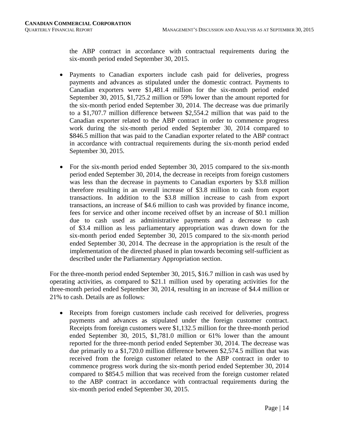the ABP contract in accordance with contractual requirements during the six-month period ended September 30, 2015.

- Payments to Canadian exporters include cash paid for deliveries, progress payments and advances as stipulated under the domestic contract. Payments to Canadian exporters were \$1,481.4 million for the six-month period ended September 30, 2015, \$1,725.2 million or 59% lower than the amount reported for the six-month period ended September 30, 2014. The decrease was due primarily to a \$1,707.7 million difference between \$2,554.2 million that was paid to the Canadian exporter related to the ABP contract in order to commence progress work during the six-month period ended September 30, 2014 compared to \$846.5 million that was paid to the Canadian exporter related to the ABP contract in accordance with contractual requirements during the six-month period ended September 30, 2015.
- For the six-month period ended September 30, 2015 compared to the six-month period ended September 30, 2014, the decrease in receipts from foreign customers was less than the decrease in payments to Canadian exporters by \$3.8 million therefore resulting in an overall increase of \$3.8 million to cash from export transactions. In addition to the \$3.8 million increase to cash from export transactions, an increase of \$4.6 million to cash was provided by finance income, fees for service and other income received offset by an increase of \$0.1 million due to cash used as administrative payments and a decrease to cash of \$3.4 million as less parliamentary appropriation was drawn down for the six-month period ended September 30, 2015 compared to the six-month period ended September 30, 2014. The decrease in the appropriation is the result of the implementation of the directed phased in plan towards becoming self-sufficient as described under the Parliamentary Appropriation section.

For the three-month period ended September 30, 2015, \$16.7 million in cash was used by operating activities, as compared to \$21.1 million used by operating activities for the three-month period ended September 30, 2014, resulting in an increase of \$4.4 million or 21% to cash. Details are as follows:

• Receipts from foreign customers include cash received for deliveries, progress payments and advances as stipulated under the foreign customer contract. Receipts from foreign customers were \$1,132.5 million for the three-month period ended September 30, 2015, \$1,781.0 million or 61% lower than the amount reported for the three-month period ended September 30, 2014. The decrease was due primarily to a \$1,720.0 million difference between \$2,574.5 million that was received from the foreign customer related to the ABP contract in order to commence progress work during the six-month period ended September 30, 2014 compared to \$854.5 million that was received from the foreign customer related to the ABP contract in accordance with contractual requirements during the six-month period ended September 30, 2015.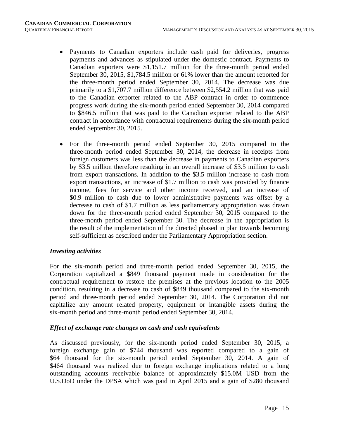- Payments to Canadian exporters include cash paid for deliveries, progress payments and advances as stipulated under the domestic contract. Payments to Canadian exporters were \$1,151.7 million for the three-month period ended September 30, 2015, \$1,784.5 million or 61% lower than the amount reported for the three-month period ended September 30, 2014. The decrease was due primarily to a \$1,707.7 million difference between \$2,554.2 million that was paid to the Canadian exporter related to the ABP contract in order to commence progress work during the six-month period ended September 30, 2014 compared to \$846.5 million that was paid to the Canadian exporter related to the ABP contract in accordance with contractual requirements during the six-month period ended September 30, 2015.
- For the three-month period ended September 30, 2015 compared to the three-month period ended September 30, 2014, the decrease in receipts from foreign customers was less than the decrease in payments to Canadian exporters by \$3.5 million therefore resulting in an overall increase of \$3.5 million to cash from export transactions. In addition to the \$3.5 million increase to cash from export transactions, an increase of \$1.7 million to cash was provided by finance income, fees for service and other income received, and an increase of \$0.9 million to cash due to lower administrative payments was offset by a decrease to cash of \$1.7 million as less parliamentary appropriation was drawn down for the three-month period ended September 30, 2015 compared to the three-month period ended September 30. The decrease in the appropriation is the result of the implementation of the directed phased in plan towards becoming self-sufficient as described under the Parliamentary Appropriation section.

#### *Investing activities*

For the six-month period and three-month period ended September 30, 2015, the Corporation capitalized a \$849 thousand payment made in consideration for the contractual requirement to restore the premises at the previous location to the 2005 condition, resulting in a decrease to cash of \$849 thousand compared to the six-month period and three-month period ended September 30, 2014. The Corporation did not capitalize any amount related property, equipment or intangible assets during the six-month period and three-month period ended September 30, 2014.

#### *Effect of exchange rate changes on cash and cash equivalents*

As discussed previously, for the six-month period ended September 30, 2015, a foreign exchange gain of \$744 thousand was reported compared to a gain of \$64 thousand for the six-month period ended September 30, 2014. A gain of \$464 thousand was realized due to foreign exchange implications related to a long outstanding accounts receivable balance of approximately \$15.0M USD from the U.S.DoD under the DPSA which was paid in April 2015 and a gain of \$280 thousand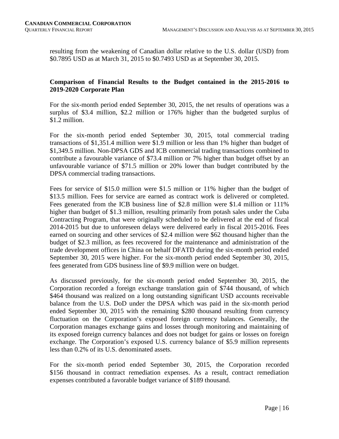resulting from the weakening of Canadian dollar relative to the U.S. dollar (USD) from \$0.7895 USD as at March 31, 2015 to \$0.7493 USD as at September 30, 2015.

# **Comparison of Financial Results to the Budget contained in the 2015-2016 to 2019-2020 Corporate Plan**

For the six-month period ended September 30, 2015, the net results of operations was a surplus of \$3.4 million, \$2.2 million or 176% higher than the budgeted surplus of \$1.2 million.

For the six-month period ended September 30, 2015, total commercial trading transactions of \$1,351.4 million were \$1.9 million or less than 1% higher than budget of \$1,349.5 million. Non-DPSA GDS and ICB commercial trading transactions combined to contribute a favourable variance of \$73.4 million or 7% higher than budget offset by an unfavourable variance of \$71.5 million or 20% lower than budget contributed by the DPSA commercial trading transactions.

Fees for service of \$15.0 million were \$1.5 million or 11% higher than the budget of \$13.5 million. Fees for service are earned as contract work is delivered or completed. Fees generated from the ICB business line of \$2.8 million were \$1.4 million or 111% higher than budget of \$1.3 million, resulting primarily from potash sales under the Cuba Contracting Program, that were originally scheduled to be delivered at the end of fiscal 2014-2015 but due to unforeseen delays were delivered early in fiscal 2015-2016. Fees earned on sourcing and other services of \$2.4 million were \$62 thousand higher than the budget of \$2.3 million, as fees recovered for the maintenance and administration of the trade development offices in China on behalf DFATD during the six-month period ended September 30, 2015 were higher. For the six-month period ended September 30, 2015, fees generated from GDS business line of \$9.9 million were on budget.

As discussed previously, for the six-month period ended September 30, 2015, the Corporation recorded a foreign exchange translation gain of \$744 thousand, of which \$464 thousand was realized on a long outstanding significant USD accounts receivable balance from the U.S. DoD under the DPSA which was paid in the six-month period ended September 30, 2015 with the remaining \$280 thousand resulting from currency fluctuation on the Corporation's exposed foreign currency balances. Generally, the Corporation manages exchange gains and losses through monitoring and maintaining of its exposed foreign currency balances and does not budget for gains or losses on foreign exchange. The Corporation's exposed U.S. currency balance of \$5.9 million represents less than 0.2% of its U.S. denominated assets.

For the six-month period ended September 30, 2015, the Corporation recorded \$156 thousand in contract remediation expenses. As a result, contract remediation expenses contributed a favorable budget variance of \$189 thousand.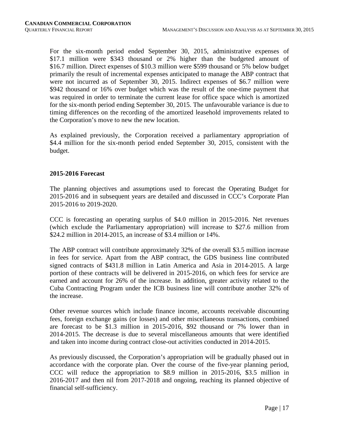For the six-month period ended September 30, 2015, administrative expenses of \$17.1 million were \$343 thousand or 2% higher than the budgeted amount of \$16.7 million. Direct expenses of \$10.3 million were \$599 thousand or 5% below budget primarily the result of incremental expenses anticipated to manage the ABP contract that were not incurred as of September 30, 2015. Indirect expenses of \$6.7 million were \$942 thousand or 16% over budget which was the result of the one-time payment that was required in order to terminate the current lease for office space which is amortized for the six-month period ending September 30, 2015. The unfavourable variance is due to timing differences on the recording of the amortized leasehold improvements related to the Corporation's move to new the new location.

As explained previously, the Corporation received a parliamentary appropriation of \$4.4 million for the six-month period ended September 30, 2015, consistent with the budget.

#### **2015-2016 Forecast**

The planning objectives and assumptions used to forecast the Operating Budget for 2015-2016 and in subsequent years are detailed and discussed in CCC's Corporate Plan 2015-2016 to 2019-2020.

CCC is forecasting an operating surplus of \$4.0 million in 2015-2016. Net revenues (which exclude the Parliamentary appropriation) will increase to \$27.6 million from \$24.2 million in 2014-2015, an increase of \$3.4 million or 14%.

The ABP contract will contribute approximately 32% of the overall \$3.5 million increase in fees for service. Apart from the ABP contract, the GDS business line contributed signed contracts of \$431.8 million in Latin America and Asia in 2014-2015. A large portion of these contracts will be delivered in 2015-2016, on which fees for service are earned and account for 26% of the increase. In addition, greater activity related to the Cuba Contracting Program under the ICB business line will contribute another 32% of the increase.

Other revenue sources which include finance income, accounts receivable discounting fees, foreign exchange gains (or losses) and other miscellaneous transactions, combined are forecast to be \$1.3 million in 2015-2016, \$92 thousand or 7% lower than in 2014-2015. The decrease is due to several miscellaneous amounts that were identified and taken into income during contract close-out activities conducted in 2014-2015.

As previously discussed, the Corporation's appropriation will be gradually phased out in accordance with the corporate plan. Over the course of the five-year planning period, CCC will reduce the appropriation to \$8.9 million in 2015-2016, \$3.5 million in 2016-2017 and then nil from 2017-2018 and ongoing, reaching its planned objective of financial self-sufficiency.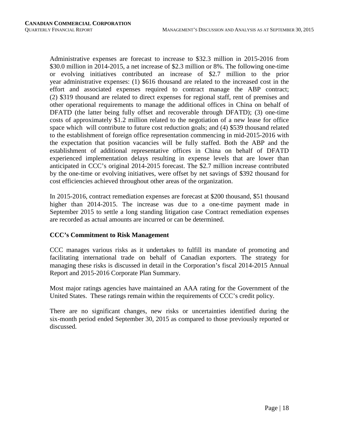Administrative expenses are forecast to increase to \$32.3 million in 2015-2016 from \$30.0 million in 2014-2015, a net increase of \$2.3 million or 8%. The following one-time or evolving initiatives contributed an increase of \$2.7 million to the prior year administrative expenses: (1) \$616 thousand are related to the increased cost in the effort and associated expenses required to contract manage the ABP contract; (2) \$319 thousand are related to direct expenses for regional staff, rent of premises and other operational requirements to manage the additional offices in China on behalf of DFATD (the latter being fully offset and recoverable through DFATD); (3) one-time costs of approximately \$1.2 million related to the negotiation of a new lease for office space which will contribute to future cost reduction goals; and (4) \$539 thousand related to the establishment of foreign office representation commencing in mid-2015-2016 with the expectation that position vacancies will be fully staffed. Both the ABP and the establishment of additional representative offices in China on behalf of DFATD experienced implementation delays resulting in expense levels that are lower than anticipated in CCC's original 2014-2015 forecast. The \$2.7 million increase contributed by the one-time or evolving initiatives, were offset by net savings of \$392 thousand for cost efficiencies achieved throughout other areas of the organization.

In 2015-2016, contract remediation expenses are forecast at \$200 thousand, \$51 thousand higher than 2014-2015. The increase was due to a one-time payment made in September 2015 to settle a long standing litigation case Contract remediation expenses are recorded as actual amounts are incurred or can be determined.

# **CCC's Commitment to Risk Management**

CCC manages various risks as it undertakes to fulfill its mandate of promoting and facilitating international trade on behalf of Canadian exporters. The strategy for managing these risks is discussed in detail in the Corporation's fiscal 2014-2015 Annual Report and 2015-2016 Corporate Plan Summary.

Most major ratings agencies have maintained an AAA rating for the Government of the United States. These ratings remain within the requirements of CCC's credit policy.

There are no significant changes, new risks or uncertainties identified during the six-month period ended September 30, 2015 as compared to those previously reported or discussed*.*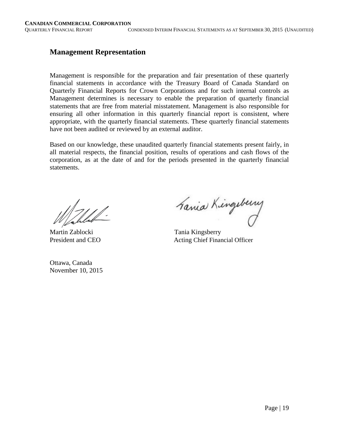# **Management Representation**

Management is responsible for the preparation and fair presentation of these quarterly financial statements in accordance with the Treasury Board of Canada Standard on Quarterly Financial Reports for Crown Corporations and for such internal controls as Management determines is necessary to enable the preparation of quarterly financial statements that are free from material misstatement. Management is also responsible for ensuring all other information in this quarterly financial report is consistent, where appropriate, with the quarterly financial statements. These quarterly financial statements have not been audited or reviewed by an external auditor.

Based on our knowledge, these unaudited quarterly financial statements present fairly, in all material respects, the financial position, results of operations and cash flows of the corporation, as at the date of and for the periods presented in the quarterly financial statements.

Ottawa, Canada November 10, 2015

Mahlel Fania Kingsberry

President and CEO Acting Chief Financial Officer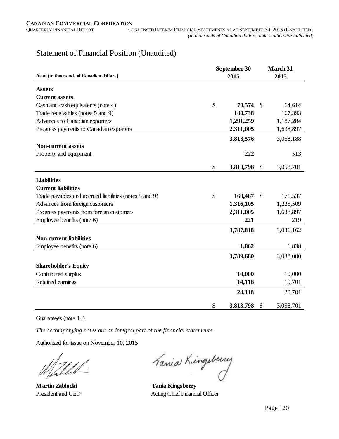# Statement of Financial Position (Unaudited)

|                                                        | September 30    |    |           |  |  |  |
|--------------------------------------------------------|-----------------|----|-----------|--|--|--|
| As at (in thousands of Canadian dollars)               | 2015            |    | 2015      |  |  |  |
| <b>Assets</b>                                          |                 |    |           |  |  |  |
| <b>Current assets</b>                                  |                 |    |           |  |  |  |
| Cash and cash equivalents (note 4)                     | \$<br>70,574    | \$ | 64,614    |  |  |  |
| Trade receivables (notes 5 and 9)                      | 140,738         |    | 167,393   |  |  |  |
| Advances to Canadian exporters                         | 1,291,259       |    | 1,187,284 |  |  |  |
| Progress payments to Canadian exporters                | 2,311,005       |    | 1,638,897 |  |  |  |
|                                                        | 3,813,576       |    | 3,058,188 |  |  |  |
| <b>Non-current assets</b>                              |                 |    |           |  |  |  |
| Property and equipment                                 | 222             |    | 513       |  |  |  |
|                                                        | \$<br>3,813,798 | \$ | 3,058,701 |  |  |  |
| <b>Liabilities</b>                                     |                 |    |           |  |  |  |
| <b>Current liabilities</b>                             |                 |    |           |  |  |  |
| Trade payables and accrued liabilities (notes 5 and 9) | \$<br>160,487   | \$ | 171,537   |  |  |  |
| Advances from foreign customers                        | 1,316,105       |    | 1,225,509 |  |  |  |
| Progress payments from foreign customers               | 2,311,005       |    | 1,638,897 |  |  |  |
| Employee benefits (note 6)                             | 221             |    | 219       |  |  |  |
|                                                        | 3,787,818       |    | 3,036,162 |  |  |  |
| <b>Non-current liabilities</b>                         |                 |    |           |  |  |  |
| Employee benefits (note 6)                             | 1,862           |    | 1,838     |  |  |  |
|                                                        | 3,789,680       |    | 3,038,000 |  |  |  |
| <b>Shareholder's Equity</b>                            |                 |    |           |  |  |  |
| Contributed surplus                                    | 10,000          |    | 10,000    |  |  |  |
| Retained earnings                                      | 14,118          |    | 10,701    |  |  |  |
|                                                        | 24,118          |    | 20,701    |  |  |  |
|                                                        | \$<br>3,813,798 | \$ | 3,058,701 |  |  |  |

Guarantees (note 14)

*The accompanying notes are an integral part of the financial statements.*

Authorized for issue on November 10, 2015

Fania Kingsberry

**Martin Zablocki Tania Kingsberry** President and CEO Acting Chief Financial Officer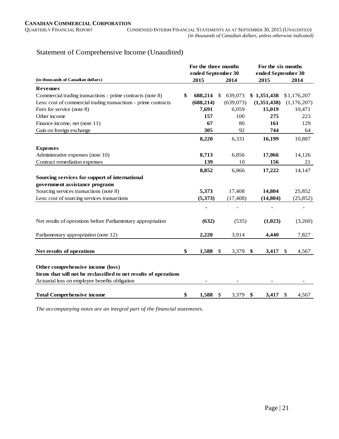# Statement of Comprehensive Income (Unaudited)

|                                                                  | For the three months |               |                    |             | For the six months |             |  |
|------------------------------------------------------------------|----------------------|---------------|--------------------|-------------|--------------------|-------------|--|
|                                                                  | ended September 30   |               | ended September 30 |             |                    |             |  |
| (in thousands of Canadian dollars)                               | 2015                 | 2014          |                    | 2015        |                    | 2014        |  |
| <b>Revenues</b>                                                  |                      |               |                    |             |                    |             |  |
| Commercial trading transactions - prime contracts (note 8)       | \$<br>688,214        | \$<br>639,073 |                    | \$1,351,438 |                    | \$1,176,207 |  |
| Less: cost of commercial trading transactions - prime contracts  | (688, 214)           | (639,073)     |                    | (1,351,438) |                    | (1,176,207) |  |
| Fees for service (note 8)                                        | 7,691                | 6,059         |                    | 15,019      |                    | 10,471      |  |
| Other income                                                     | 157                  | 100           |                    | 275         |                    | 223         |  |
| Finance income, net (note 11)                                    | 67                   | 80            |                    | 161         |                    | 129         |  |
| Gain on foreign exchange                                         | 305                  | 92            |                    | 744         |                    | 64          |  |
|                                                                  | 8,220                | 6,331         |                    | 16,199      |                    | 10,887      |  |
| <b>Expenses</b>                                                  |                      |               |                    |             |                    |             |  |
| Administrative expenses (note 10)                                | 8,713                | 6,856         |                    | 17,066      |                    | 14,126      |  |
| Contract remediation expenses                                    | 139                  | 10            |                    | 156         |                    | 21          |  |
|                                                                  | 8,852                | 6,866         |                    | 17,222      |                    | 14,147      |  |
| Sourcing services for support of international                   |                      |               |                    |             |                    |             |  |
| government assistance programs                                   |                      |               |                    |             |                    |             |  |
| Sourcing services transactions (note 8)                          | 5,373                | 17,408        |                    | 14,804      |                    | 25,852      |  |
| Less: cost of sourcing services transactions                     | (5,373)              | (17, 408)     |                    | (14, 804)   |                    | (25, 852)   |  |
|                                                                  |                      |               |                    |             |                    |             |  |
|                                                                  |                      |               |                    |             |                    |             |  |
| Net results of operations before Parliamentary appropriation     | (632)                | (535)         |                    | (1,023)     |                    | (3,260)     |  |
| Parliamentary appropriation (note 12)                            | 2,220                | 3,914         |                    | 4.440       |                    | 7,827       |  |
|                                                                  |                      |               |                    |             |                    |             |  |
| Net results of operations                                        | \$<br>1,588          | \$<br>3,379   | \$                 | 3,417       | $\frac{1}{2}$      | 4,567       |  |
|                                                                  |                      |               |                    |             |                    |             |  |
| Other comprehensive income (loss)                                |                      |               |                    |             |                    |             |  |
| Items that will not be reclassified to net results of operations |                      |               |                    |             |                    |             |  |
| Actuarial loss on employee benefits obligation                   |                      |               |                    |             |                    |             |  |
| <b>Total Comprehensive income</b>                                | \$<br>1,588          | \$<br>3,379   | \$                 | 3,417       | \$                 | 4,567       |  |

*The accompanying notes are an integral part of the financial statements.*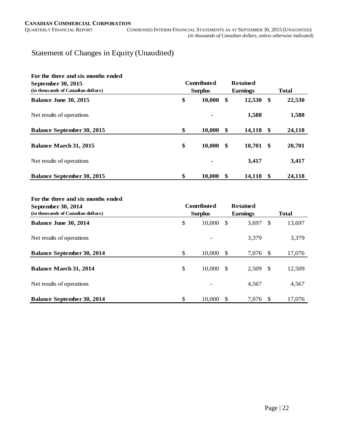# Statement of Changes in Equity (Unaudited)

| For the three and six months ended<br>September 30, 2015<br>(in thousands of Canadian dollars) | <b>Contributed</b><br><b>Surplus</b> | <b>Retained</b><br><b>Earnings</b> | <b>Total</b>      |              |  |
|------------------------------------------------------------------------------------------------|--------------------------------------|------------------------------------|-------------------|--------------|--|
| Balance June 30, 2015                                                                          | \$                                   | 10,000                             | \$<br>12,530      | \$<br>22,530 |  |
| Net results of operations                                                                      |                                      |                                    | 1,588             | 1,588        |  |
| <b>Balance September 30, 2015</b>                                                              | \$                                   | 10,000                             | \$<br>14,118 \$   | 24,118       |  |
| <b>Balance March 31, 2015</b>                                                                  | \$                                   | 10,000                             | \$<br>$10,701$ \$ | 20,701       |  |
| Net results of operations                                                                      |                                      |                                    | 3,417             | 3,417        |  |
| <b>Balance September 30, 2015</b>                                                              | \$                                   | 10,000                             | \$<br>14,118      | \$<br>24,118 |  |

#### **For the three and six months ended**

| September 30, 2014                 | <b>Contributed</b> |    | <b>Retained</b> |      |              |
|------------------------------------|--------------------|----|-----------------|------|--------------|
| (in thousands of Canadian dollars) | <b>Surplus</b>     |    | <b>Earnings</b> |      | <b>Total</b> |
| Balance June 30, 2014              | \$<br>10,000       | S  | 3,697           | \$   | 13,697       |
| Net results of operations          |                    |    | 3,379           |      | 3,379        |
| <b>Balance September 30, 2014</b>  | \$<br>10,000       | -S | 7,076 \$        |      | 17,076       |
| <b>Balance March 31, 2014</b>      | \$<br>10,000       | -S | $2,509$ \$      |      | 12,509       |
| Net results of operations          |                    |    | 4,567           |      | 4,567        |
| <b>Balance September 30, 2014</b>  | \$<br>10.000       |    | 7.076           | - \$ | 17,076       |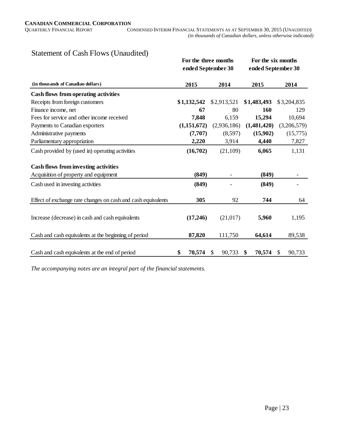# Statement of Cash Flows (Unaudited)

|                                                              | For the three months |              | For the six months |              |  |  |  |
|--------------------------------------------------------------|----------------------|--------------|--------------------|--------------|--|--|--|
|                                                              | ended September 30   |              | ended September 30 |              |  |  |  |
| (in thousands of Canadian dollars)                           | 2015                 | 2014         | 2015               | 2014         |  |  |  |
| <b>Cash flows from operating activities</b>                  |                      |              |                    |              |  |  |  |
| Receipts from foreign customers                              | \$1,132,542          | \$2,913,521  | \$1,483,493        | \$3,204,835  |  |  |  |
| Finance income, net                                          | 67                   | 80           | 160                | 129          |  |  |  |
| Fees for service and other income received                   | 7,848                | 6,159        | 15,294             | 10,694       |  |  |  |
| Payments to Canadian exporters                               | (1,151,672)          | (2,936,186)  | (1,481,420)        | (3,206,579)  |  |  |  |
| Administrative payments                                      | (7,707)              | (8,597)      | (15,902)           | (15,775)     |  |  |  |
| Parliamentary appropriation                                  | 2,220                | 3,914        | 4,440              | 7,827        |  |  |  |
| Cash provided by (used in) operating activities              | (16,702)             | (21,109)     | 6,065              | 1,131        |  |  |  |
| <b>Cash flows from investing activities</b>                  |                      |              |                    |              |  |  |  |
| Acquisition of property and equipment                        | (849)                |              | (849)              |              |  |  |  |
| Cash used in investing activities                            | (849)                |              | (849)              |              |  |  |  |
| Effect of exchange rate changes on cash and cash equivalents | 305                  | 92           | 744                | 64           |  |  |  |
|                                                              |                      |              |                    |              |  |  |  |
| Increase (decrease) in cash and cash equivalents             | (17,246)             | (21, 017)    | 5,960              | 1,195        |  |  |  |
| Cash and cash equivalents at the beginning of period         | 87,820               | 111,750      | 64,614             | 89,538       |  |  |  |
|                                                              |                      |              |                    |              |  |  |  |
| Cash and cash equivalents at the end of period               | \$<br>70,574         | 90,733<br>\$ | 70,574<br>\$       | 90,733<br>\$ |  |  |  |

*The accompanying notes are an integral part of the financial statements.*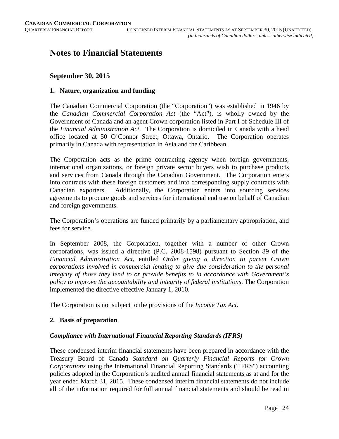# **Notes to Financial Statements**

# **September 30, 2015**

# **1. Nature, organization and funding**

The Canadian Commercial Corporation (the "Corporation") was established in 1946 by the *Canadian Commercial Corporation Act* (the "Act"), is wholly owned by the Government of Canada and an agent Crown corporation listed in Part I of Schedule III of the *Financial Administration Act*. The Corporation is domiciled in Canada with a head office located at 50 O'Connor Street, Ottawa, Ontario. The Corporation operates primarily in Canada with representation in Asia and the Caribbean.

The Corporation acts as the prime contracting agency when foreign governments, international organizations, or foreign private sector buyers wish to purchase products and services from Canada through the Canadian Government. The Corporation enters into contracts with these foreign customers and into corresponding supply contracts with Canadian exporters. Additionally, the Corporation enters into sourcing services agreements to procure goods and services for international end use on behalf of Canadian and foreign governments.

The Corporation's operations are funded primarily by a parliamentary appropriation, and fees for service.

In September 2008, the Corporation, together with a number of other Crown corporations, was issued a directive (P.C. 2008-1598) pursuant to Section 89 of the *Financial Administration Act*, entitled *Order giving a direction to parent Crown corporations involved in commercial lending to give due consideration to the personal integrity of those they lend to or provide benefits to in accordance with Government's policy to improve the accountability and integrity of federal institutions*. The Corporation implemented the directive effective January 1, 2010.

The Corporation is not subject to the provisions of the *Income Tax Act*.

# **2. Basis of preparation**

# *Compliance with International Financial Reporting Standards (IFRS)*

These condensed interim financial statements have been prepared in accordance with the Treasury Board of Canada *Standard on Quarterly Financial Reports for Crown Corporations* using the International Financial Reporting Standards ("IFRS") accounting policies adopted in the Corporation's audited annual financial statements as at and for the year ended March 31, 2015. These condensed interim financial statements do not include all of the information required for full annual financial statements and should be read in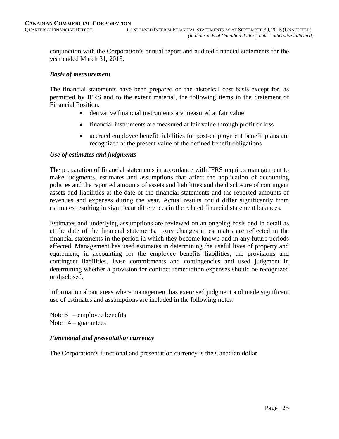conjunction with the Corporation's annual report and audited financial statements for the year ended March 31, 2015.

#### *Basis of measurement*

The financial statements have been prepared on the historical cost basis except for, as permitted by IFRS and to the extent material, the following items in the Statement of Financial Position:

- derivative financial instruments are measured at fair value
- financial instruments are measured at fair value through profit or loss
- accrued employee benefit liabilities for post-employment benefit plans are recognized at the present value of the defined benefit obligations

#### *Use of estimates and judgments*

The preparation of financial statements in accordance with IFRS requires management to make judgments, estimates and assumptions that affect the application of accounting policies and the reported amounts of assets and liabilities and the disclosure of contingent assets and liabilities at the date of the financial statements and the reported amounts of revenues and expenses during the year. Actual results could differ significantly from estimates resulting in significant differences in the related financial statement balances.

Estimates and underlying assumptions are reviewed on an ongoing basis and in detail as at the date of the financial statements. Any changes in estimates are reflected in the financial statements in the period in which they become known and in any future periods affected. Management has used estimates in determining the useful lives of property and equipment, in accounting for the employee benefits liabilities, the provisions and contingent liabilities, lease commitments and contingencies and used judgment in determining whether a provision for contract remediation expenses should be recognized or disclosed.

Information about areas where management has exercised judgment and made significant use of estimates and assumptions are included in the following notes:

Note  $6$  – employee benefits Note  $14$  – guarantees

# *Functional and presentation currency*

The Corporation's functional and presentation currency is the Canadian dollar.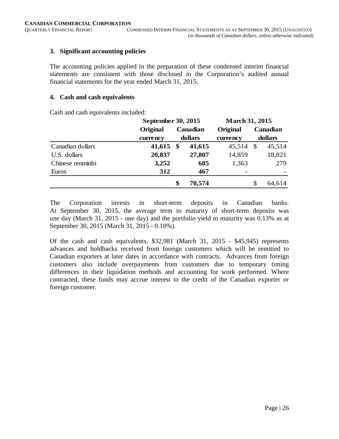# **3. Significant accounting policies**

The accounting policies applied in the preparation of these condensed interim financial statements are consistent with those disclosed in the Corporation's audited annual financial statements for the year ended March 31, 2015.

# **4. Cash and cash equivalents**

Cash and cash equivalents included:

|                  | September 30, 2015 |               |          | <b>March 31, 2015</b> |    |          |
|------------------|--------------------|---------------|----------|-----------------------|----|----------|
|                  | Original           |               | Canadian | Original              |    | Canadian |
|                  | currency           |               | dollars  | currency              |    | dollars  |
| Canadian dollars | 41,615             | $\mathbf{\$}$ | 41,615   | 45,514                | \$ | 45,514   |
| U.S. dollars     | 20,837             |               | 27,807   | 14,859                |    | 18,821   |
| Chinese renminbi | 3,252              |               | 685      | 1,363                 |    | 279      |
| Euros            | 312                |               | 467      |                       |    |          |
|                  |                    | \$            | 70,574   |                       | \$ | 64,614   |

The Corporation invests in short-term deposits in Canadian banks. At September 30, 2015, the average term to maturity of short-term deposits was one day (March 31, 2015 - one day) and the portfolio yield to maturity was 0.13% as at September 30, 2015 (March 31, 2015 - 0.10%).

Of the cash and cash equivalents, \$32,981 (March 31, 2015 - \$45,945) represents advances and holdbacks received from foreign customers which will be remitted to Canadian exporters at later dates in accordance with contracts. Advances from foreign customers also include overpayments from customers due to temporary timing differences in their liquidation methods and accounting for work performed. Where contracted, these funds may accrue interest to the credit of the Canadian exporter or foreign customer.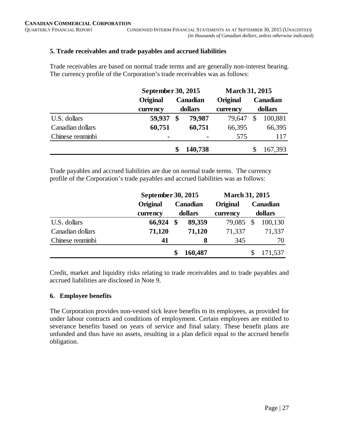# **5. Trade receivables and trade payables and accrued liabilities**

Trade receivables are based on normal trade terms and are generally non-interest bearing. The currency profile of the Corporation's trade receivables was as follows:

|                  | September 30, 2015 |         |          | <b>March 31, 2015</b> |         |          |  |  |
|------------------|--------------------|---------|----------|-----------------------|---------|----------|--|--|
|                  | Original           |         | Canadian | Original              |         | Canadian |  |  |
|                  | currency           | dollars |          |                       | dollars |          |  |  |
| U.S. dollars     | 59,937             | \$      | 79,987   | 79,647                | \$      | 100,881  |  |  |
| Canadian dollars | 60,751             |         | 60,751   | 66,395                |         | 66,395   |  |  |
| Chinese renminbi | -                  |         | -        | 575                   |         | 117      |  |  |
|                  |                    |         | 140,738  |                       |         | 167,393  |  |  |

Trade payables and accrued liabilities are due on normal trade terms. The currency profile of the Corporation's trade payables and accrued liabilities was as follows:

|                  | September 30, 2015 |         |          | <b>March 31, 2015</b> |    |          |
|------------------|--------------------|---------|----------|-----------------------|----|----------|
|                  | Original           |         | Canadian | <b>Original</b>       |    | Canadian |
|                  | currency           | dollars |          | currency              |    | dollars  |
| U.S. dollars     | 66,924             | \$      | 89,359   | 79,085                | \$ | 100,130  |
| Canadian dollars | 71,120             |         | 71,120   | 71,337                |    | 71,337   |
| Chinese renminbi | 41                 |         | 8        | 345                   |    | 70       |
|                  |                    | S       | 160,487  |                       |    | 171,537  |

Credit, market and liquidity risks relating to trade receivables and to trade payables and accrued liabilities are disclosed in Note 9.

# **6. Employee benefits**

The Corporation provides non-vested sick leave benefits to its employees, as provided for under labour contracts and conditions of employment. Certain employees are entitled to severance benefits based on years of service and final salary. These benefit plans are unfunded and thus have no assets, resulting in a plan deficit equal to the accrued benefit obligation.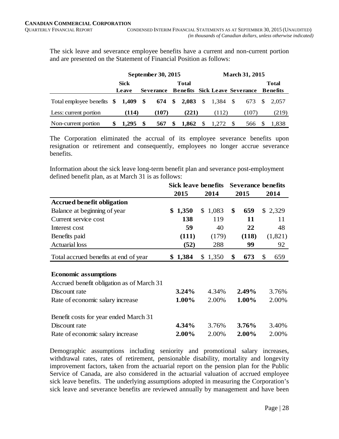The sick leave and severance employee benefits have a current and non-current portion and are presented on the Statement of Financial Position as follows:

|                                                          | September 30, 2015 |  |       |     |       |    | <b>March 31, 2015</b> |  |                                                  |  |              |  |  |  |
|----------------------------------------------------------|--------------------|--|-------|-----|-------|----|-----------------------|--|--------------------------------------------------|--|--------------|--|--|--|
|                                                          | <b>Sick</b>        |  |       |     | Total |    |                       |  |                                                  |  | <b>Total</b> |  |  |  |
|                                                          | Leave              |  |       |     |       |    |                       |  | Severance Benefits Sick Leave Severance Benefits |  |              |  |  |  |
| Total employee benefits \$1,409 \$674 \$2,083 \$1,384 \$ |                    |  |       |     |       |    |                       |  |                                                  |  | 673 \$ 2.057 |  |  |  |
| Less: current portion                                    | (114)              |  | (107) |     | (221) |    | (112)                 |  | (107)                                            |  | (219)        |  |  |  |
| Non-current portion                                      | 1.295 \$           |  | 567   | SS. | 1.862 | \$ | 1.272 \$              |  | 566                                              |  | 1.838        |  |  |  |

The Corporation eliminated the accrual of its employee severance benefits upon resignation or retirement and consequently, employees no longer accrue severance benefits.

Information about the sick leave long-term benefit plan and severance post-employment defined benefit plan, as at March 31 is as follows:

|                                           | Sick leave benefits |         | <b>Severance benefits</b> |           |  |  |
|-------------------------------------------|---------------------|---------|---------------------------|-----------|--|--|
|                                           | 2015                | 2014    | 2015                      | 2014      |  |  |
| <b>Accrued benefit obligation</b>         |                     |         |                           |           |  |  |
| Balance at beginning of year              | \$1,350             | \$1,083 | \$<br>659                 | \$2,329   |  |  |
| Current service cost                      | 138                 | 119     | 11                        | 11        |  |  |
| Interest cost                             | 59                  | 40      | 22                        | 48        |  |  |
| Benefits paid                             | (111)               | (179)   | (118)                     | (1,821)   |  |  |
| <b>Actuarial</b> loss                     | (52)                | 288     | 99                        | 92        |  |  |
| Total accrued benefits at end of year     | \$1,384             | \$1,350 | 673<br>\$                 | \$<br>659 |  |  |
|                                           |                     |         |                           |           |  |  |
| <b>Economic assumptions</b>               |                     |         |                           |           |  |  |
| Accrued benefit obligation as of March 31 |                     |         |                           |           |  |  |
| Discount rate                             | 3.24%               | 4.34%   | 2.49%                     | 3.76%     |  |  |
| Rate of economic salary increase          | 1.00%               | 2.00%   | 1.00%                     | 2.00%     |  |  |
| Benefit costs for year ended March 31     |                     |         |                           |           |  |  |
| Discount rate                             | 4.34%               | 3.76%   | 3.76%                     | 3.40%     |  |  |
| Rate of economic salary increase          | 2.00%               | 2.00%   | 2.00%                     | 2.00%     |  |  |

Demographic assumptions including seniority and promotional salary increases, withdrawal rates, rates of retirement, pensionable disability, mortality and longevity improvement factors, taken from the actuarial report on the pension plan for the Public Service of Canada, are also considered in the actuarial valuation of accrued employee sick leave benefits. The underlying assumptions adopted in measuring the Corporation's sick leave and severance benefits are reviewed annually by management and have been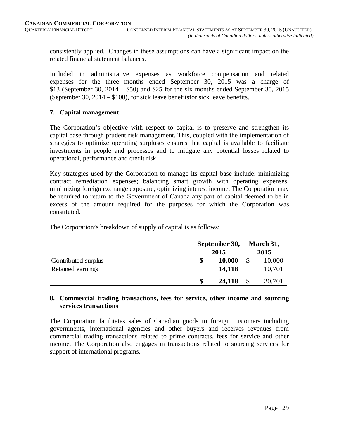consistently applied. Changes in these assumptions can have a significant impact on the related financial statement balances.

Included in administrative expenses as workforce compensation and related expenses for the three months ended September 30, 2015 was a charge of \$13 (September 30, 2014 – \$50) and \$25 for the six months ended September 30, 2015 (September 30, 2014 – \$100), for sick leave benefitsfor sick leave benefits.

# **7. Capital management**

The Corporation's objective with respect to capital is to preserve and strengthen its capital base through prudent risk management. This, coupled with the implementation of strategies to optimize operating surpluses ensures that capital is available to facilitate investments in people and processes and to mitigate any potential losses related to operational, performance and credit risk.

Key strategies used by the Corporation to manage its capital base include: minimizing contract remediation expenses; balancing smart growth with operating expenses; minimizing foreign exchange exposure; optimizing interest income. The Corporation may be required to return to the Government of Canada any part of capital deemed to be in excess of the amount required for the purposes for which the Corporation was constituted.

The Corporation's breakdown of supply of capital is as follows:

|                     | September 30, |    |        |  |  |
|---------------------|---------------|----|--------|--|--|
|                     | 2015          |    |        |  |  |
| Contributed surplus | \$<br>10,000  | \$ | 10,000 |  |  |
| Retained earnings   | 14,118        |    | 10,701 |  |  |
|                     | \$<br>24,118  |    | 20,701 |  |  |

# **8. Commercial trading transactions, fees for service, other income and sourcing services transactions**

The Corporation facilitates sales of Canadian goods to foreign customers including governments, international agencies and other buyers and receives revenues from commercial trading transactions related to prime contracts, fees for service and other income. The Corporation also engages in transactions related to sourcing services for support of international programs.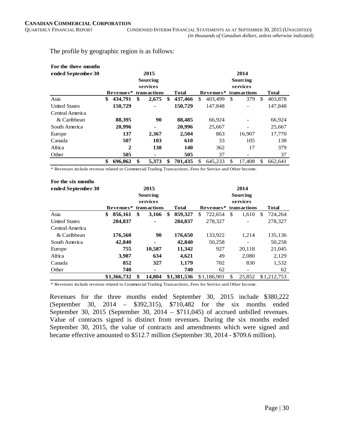The profile by geographic region is as follows:

| For the three months<br>ended September 30 | 2015<br>Sourcing<br>services |    |                |    |              |                           | 2014<br>Sourcing<br>services |    |                          |     |              |  |  |  |
|--------------------------------------------|------------------------------|----|----------------|----|--------------|---------------------------|------------------------------|----|--------------------------|-----|--------------|--|--|--|
|                                            | Revenues*                    |    | transactions   |    | <b>Total</b> | Revenues*<br>transactions |                              |    |                          |     | <b>Total</b> |  |  |  |
| Asia                                       | \$<br>434.791                | \$ | 2,675          | \$ | 437,466      | \$                        | 403.499                      | \$ | 379                      | \$. | 403,878      |  |  |  |
| <b>United States</b>                       | 150,729                      |    | $\blacksquare$ |    | 150,729      |                           | 147.848                      |    | $\overline{\phantom{a}}$ |     | 147,848      |  |  |  |
| Central America                            |                              |    |                |    |              |                           |                              |    |                          |     |              |  |  |  |
| & Caribbean                                | 88,395                       |    | 90             |    | 88,485       |                           | 66,924                       |    |                          |     | 66,924       |  |  |  |
| South America                              | 20,996                       |    | $\blacksquare$ |    | 20,996       |                           | 25,667                       |    |                          |     | 25,667       |  |  |  |
| Europe                                     | 137                          |    | 2,367          |    | 2,504        |                           | 863                          |    | 16,907                   |     | 17,770       |  |  |  |
| Canada                                     | 507                          |    | 103            |    | 610          |                           | 33                           |    | 105                      |     | 138          |  |  |  |
| Africa                                     | 2                            |    | 138            |    | 140          |                           | 362                          |    | 17                       |     | 379          |  |  |  |
| Other                                      | 505                          |    | $\blacksquare$ |    | 505          |                           | 37                           |    | $\overline{\phantom{a}}$ |     | 37           |  |  |  |
|                                            | \$<br>696,062                | \$ | 5,373          | \$ | 701,435      | \$                        | 645,233                      | \$ | 17,408                   | \$  | 662,641      |  |  |  |

\* Revenues include revenue related to Commercial Trading Transactions, Fees for Service and Other Income.

| For the six months   |               |          |              |     |             |     |             |              |     |              |
|----------------------|---------------|----------|--------------|-----|-------------|-----|-------------|--------------|-----|--------------|
| ended September 30   |               |          | 2015         |     |             |     |             | 2014         |     |              |
|                      | Sourcing      |          |              |     |             |     |             | Sourcing     |     |              |
|                      |               | services |              |     |             |     |             | services     |     |              |
|                      | Revenues*     |          | transactions |     | Total       |     | Revenues*   | transactions |     | <b>Total</b> |
| Asia                 | \$<br>856,161 | \$       | 3,166        | \$. | 859,327     | \$. | 722,654     | \$<br>1,610  | \$. | 724,264      |
| <b>United States</b> | 284,837       |          |              |     | 284,837     |     | 278.327     |              |     | 278,327      |
| Central America      |               |          |              |     |             |     |             |              |     |              |
| & Caribbean          | 176,560       |          | 90           |     | 176,650     |     | 133,922     | 1,214        |     | 135,136      |
| South America        | 42,840        |          |              |     | 42,840      |     | 50,258      | -            |     | 50,258       |
| Europe               | 755           |          | 10,587       |     | 11,342      |     | 927         | 20.118       |     | 21,045       |
| Africa               | 3,987         |          | 634          |     | 4,621       |     | 49          | 2,080        |     | 2,129        |
| Canada               | 852           |          | 327          |     | 1,179       |     | 702         | 830          |     | 1,532        |
| Other                | 740           |          | ٠            |     | 740         |     | 62          | -            |     | 62           |
|                      | \$1,366,732   | \$       | 14,804       |     | \$1,381,536 |     | \$1,186,901 | \$<br>25,852 |     | \$1,212,753  |
|                      |               |          |              |     |             |     |             |              |     |              |

\* Revenues include revenue related to Commercial Trading Transactions, Fees for Service and Other Income.

Revenues for the three months ended September 30, 2015 include \$380,222 (September 30, 2014 – \$392,315), \$710,482 for the six months ended September 30, 2015 (September 30, 2014 – \$711,045) of accrued unbilled revenues. Value of contracts signed is distinct from revenues. During the six months ended September 30, 2015, the value of contracts and amendments which were signed and became effective amounted to \$512.7 million (September 30, 2014 - \$709.6 million).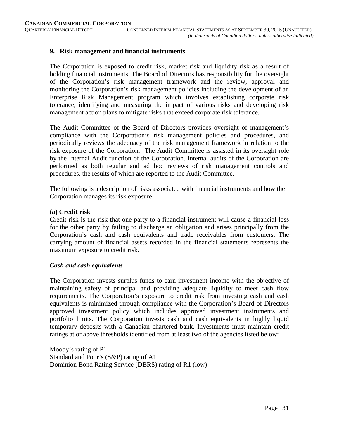## **9. Risk management and financial instruments**

The Corporation is exposed to credit risk, market risk and liquidity risk as a result of holding financial instruments. The Board of Directors has responsibility for the oversight of the Corporation's risk management framework and the review, approval and monitoring the Corporation's risk management policies including the development of an Enterprise Risk Management program which involves establishing corporate risk tolerance, identifying and measuring the impact of various risks and developing risk management action plans to mitigate risks that exceed corporate risk tolerance.

The Audit Committee of the Board of Directors provides oversight of management's compliance with the Corporation's risk management policies and procedures, and periodically reviews the adequacy of the risk management framework in relation to the risk exposure of the Corporation. The Audit Committee is assisted in its oversight role by the Internal Audit function of the Corporation. Internal audits of the Corporation are performed as both regular and ad hoc reviews of risk management controls and procedures, the results of which are reported to the Audit Committee.

The following is a description of risks associated with financial instruments and how the Corporation manages its risk exposure:

#### **(a) Credit risk**

Credit risk is the risk that one party to a financial instrument will cause a financial loss for the other party by failing to discharge an obligation and arises principally from the Corporation's cash and cash equivalents and trade receivables from customers. The carrying amount of financial assets recorded in the financial statements represents the maximum exposure to credit risk.

#### *Cash and cash equivalents*

The Corporation invests surplus funds to earn investment income with the objective of maintaining safety of principal and providing adequate liquidity to meet cash flow requirements. The Corporation's exposure to credit risk from investing cash and cash equivalents is minimized through compliance with the Corporation's Board of Directors approved investment policy which includes approved investment instruments and portfolio limits. The Corporation invests cash and cash equivalents in highly liquid temporary deposits with a Canadian chartered bank. Investments must maintain credit ratings at or above thresholds identified from at least two of the agencies listed below:

Moody's rating of P1 Standard and Poor's (S&P) rating of A1 Dominion Bond Rating Service (DBRS) rating of R1 (low)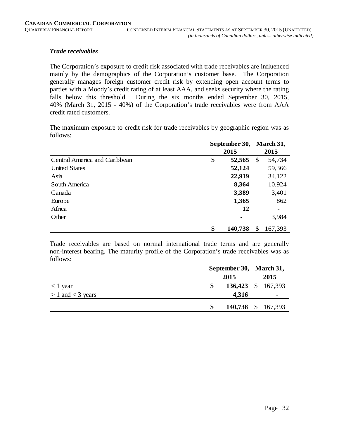# *Trade receivables*

The Corporation's exposure to credit risk associated with trade receivables are influenced mainly by the demographics of the Corporation's customer base. The Corporation generally manages foreign customer credit risk by extending open account terms to parties with a Moody's credit rating of at least AAA, and seeks security where the rating falls below this threshold. During the six months ended September 30, 2015, 40% (March 31, 2015 - 40%) of the Corporation's trade receivables were from AAA credit rated customers.

The maximum exposure to credit risk for trade receivables by geographic region was as follows:

|                               | September 30, |         |              | March 31, |
|-------------------------------|---------------|---------|--------------|-----------|
|                               | 2015          |         |              |           |
| Central America and Caribbean | \$            | 52,565  | \$           | 54,734    |
| <b>United States</b>          |               | 52,124  |              | 59,366    |
| Asia                          |               | 22,919  |              | 34,122    |
| South America                 |               | 8,364   |              | 10,924    |
| Canada                        |               | 3,389   |              | 3,401     |
| Europe                        |               | 1,365   |              | 862       |
| Africa                        |               | 12      |              |           |
| Other                         |               |         |              | 3,984     |
|                               | \$            | 140,738 | $\mathbb{S}$ | 167,393   |

Trade receivables are based on normal international trade terms and are generally non-interest bearing. The maturity profile of the Corporation's trade receivables was as follows:

|                       | September 30, March 31, |                    |  |      |
|-----------------------|-------------------------|--------------------|--|------|
|                       |                         | 2015               |  | 2015 |
| $<$ 1 year            |                         | 136,423 \$ 167,393 |  |      |
| $> 1$ and $<$ 3 years |                         | 4,316              |  | -    |
|                       |                         | 140,738 \$ 167,393 |  |      |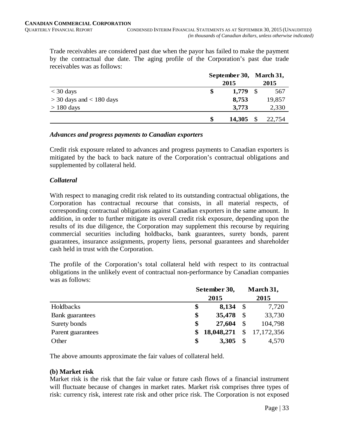Trade receivables are considered past due when the payor has failed to make the payment by the contractual due date. The aging profile of the Corporation's past due trade receivables was as follows:

|                              |    | September 30, March 31, |               |        |
|------------------------------|----|-------------------------|---------------|--------|
|                              |    |                         | 2015          |        |
| $<$ 30 days                  | \$ | 1,779                   | <sup>\$</sup> | 567    |
| $>$ 30 days and $<$ 180 days |    | 8,753                   |               | 19,857 |
| $> 180$ days                 |    | 3,773                   |               | 2,330  |
|                              | \$ | 14,305                  |               | 22,754 |

#### *Advances and progress payments to Canadian exporters*

Credit risk exposure related to advances and progress payments to Canadian exporters is mitigated by the back to back nature of the Corporation's contractual obligations and supplemented by collateral held.

# *Collateral*

With respect to managing credit risk related to its outstanding contractual obligations, the Corporation has contractual recourse that consists, in all material respects, of corresponding contractual obligations against Canadian exporters in the same amount. In addition, in order to further mitigate its overall credit risk exposure, depending upon the results of its due diligence, the Corporation may supplement this recourse by requiring commercial securities including holdbacks, bank guarantees, surety bonds, parent guarantees, insurance assignments, property liens, personal guarantees and shareholder cash held in trust with the Corporation.

The profile of the Corporation's total collateral held with respect to its contractual obligations in the unlikely event of contractual non-performance by Canadian companies was as follows:

|                        |    | Setember 30, |               | March 31,    |  |
|------------------------|----|--------------|---------------|--------------|--|
|                        |    | 2015         |               |              |  |
| Holdbacks              | \$ | 8,134        |               | 7,720        |  |
| <b>Bank</b> guarantees | \$ | 35,478       |               | 33,730       |  |
| Surety bonds           | \$ | 27,604       | $\mathcal{S}$ | 104,798      |  |
| Parent guarantees      | \$ | 18,048,271   |               | \$17,172,356 |  |
| Other                  | \$ | 3,305        |               | 4,570        |  |

The above amounts approximate the fair values of collateral held.

# **(b) Market risk**

Market risk is the risk that the fair value or future cash flows of a financial instrument will fluctuate because of changes in market rates. Market risk comprises three types of risk: currency risk, interest rate risk and other price risk. The Corporation is not exposed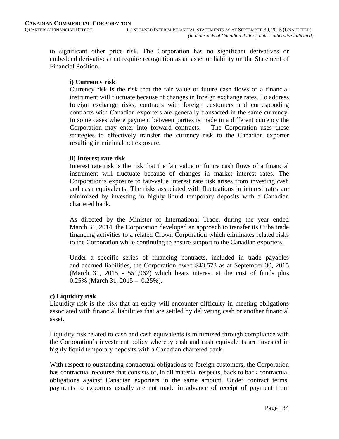to significant other price risk. The Corporation has no significant derivatives or embedded derivatives that require recognition as an asset or liability on the Statement of Financial Position.

## **i) Currency risk**

Currency risk is the risk that the fair value or future cash flows of a financial instrument will fluctuate because of changes in foreign exchange rates. To address foreign exchange risks, contracts with foreign customers and corresponding contracts with Canadian exporters are generally transacted in the same currency. In some cases where payment between parties is made in a different currency the Corporation may enter into forward contracts. The Corporation uses these strategies to effectively transfer the currency risk to the Canadian exporter resulting in minimal net exposure.

#### **ii) Interest rate risk**

Interest rate risk is the risk that the fair value or future cash flows of a financial instrument will fluctuate because of changes in market interest rates. The Corporation's exposure to fair-value interest rate risk arises from investing cash and cash equivalents. The risks associated with fluctuations in interest rates are minimized by investing in highly liquid temporary deposits with a Canadian chartered bank.

As directed by the Minister of International Trade, during the year ended March 31, 2014, the Corporation developed an approach to transfer its Cuba trade financing activities to a related Crown Corporation which eliminates related risks to the Corporation while continuing to ensure support to the Canadian exporters.

Under a specific series of financing contracts, included in trade payables and accrued liabilities, the Corporation owed \$43,573 as at September 30, 2015 (March 31, 2015 - \$51,962) which bears interest at the cost of funds plus 0.25% (March 31, 2015 – 0.25%).

# **c) Liquidity risk**

Liquidity risk is the risk that an entity will encounter difficulty in meeting obligations associated with financial liabilities that are settled by delivering cash or another financial asset.

Liquidity risk related to cash and cash equivalents is minimized through compliance with the Corporation's investment policy whereby cash and cash equivalents are invested in highly liquid temporary deposits with a Canadian chartered bank.

With respect to outstanding contractual obligations to foreign customers, the Corporation has contractual recourse that consists of, in all material respects, back to back contractual obligations against Canadian exporters in the same amount. Under contract terms, payments to exporters usually are not made in advance of receipt of payment from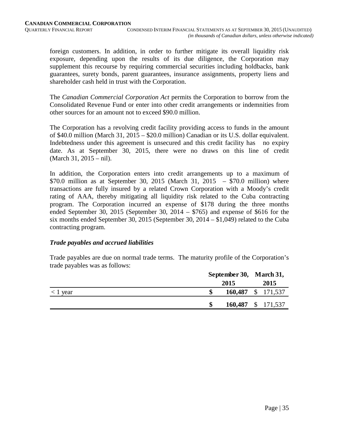foreign customers. In addition, in order to further mitigate its overall liquidity risk exposure, depending upon the results of its due diligence, the Corporation may supplement this recourse by requiring commercial securities including holdbacks, bank guarantees, surety bonds, parent guarantees, insurance assignments, property liens and shareholder cash held in trust with the Corporation.

The *Canadian Commercial Corporation Act* permits the Corporation to borrow from the Consolidated Revenue Fund or enter into other credit arrangements or indemnities from other sources for an amount not to exceed \$90.0 million.

The Corporation has a revolving credit facility providing access to funds in the amount of \$40.0 million (March 31, 2015 – \$20.0 million) Canadian or its U.S. dollar equivalent. Indebtedness under this agreement is unsecured and this credit facility has no expiry date. As at September 30, 2015, there were no draws on this line of credit (March 31, 2015 – nil).

In addition, the Corporation enters into credit arrangements up to a maximum of \$70.0 million as at September 30, 2015 (March 31, 2015 – \$70.0 million) where transactions are fully insured by a related Crown Corporation with a Moody's credit rating of AAA, thereby mitigating all liquidity risk related to the Cuba contracting program. The Corporation incurred an expense of \$178 during the three months ended September 30, 2015 (September 30, 2014 – \$765) and expense of \$616 for the six months ended September 30, 2015 (September 30, 2014 – \$1,049) related to the Cuba contracting program.

# *Trade payables and accrued liabilities*

Trade payables are due on normal trade terms. The maturity profile of the Corporation's trade payables was as follows:

|               | September 30, March 31, |  |      |
|---------------|-------------------------|--|------|
|               | 2015                    |  | 2015 |
| $\leq$ 1 year | 160,487 \$ 171,537      |  |      |
|               | 160,487 \$ 171,537      |  |      |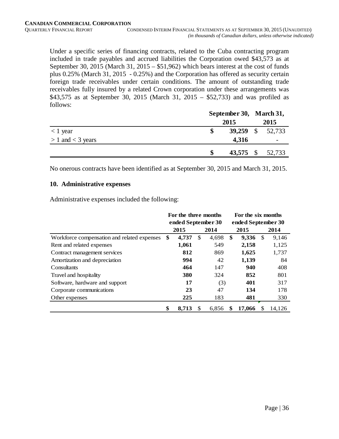Under a specific series of financing contracts, related to the Cuba contracting program included in trade payables and accrued liabilities the Corporation owed \$43,573 as at September 30, 2015 (March 31, 2015 – \$51,962) which bears interest at the cost of funds plus 0.25% (March 31, 2015 - 0.25%) and the Corporation has offered as security certain foreign trade receivables under certain conditions. The amount of outstanding trade receivables fully insured by a related Crown corporation under these arrangements was \$43,575 as at September 30, 2015 (March 31, 2015 – \$52,733) and was profiled as follows:

|                       | September 30, March 31, |       |  |                  |  |  |
|-----------------------|-------------------------|-------|--|------------------|--|--|
|                       | 2015                    |       |  |                  |  |  |
| $<$ 1 year            |                         |       |  | 39,259 \$ 52,733 |  |  |
| $> 1$ and $<$ 3 years |                         | 4,316 |  | -                |  |  |
|                       |                         |       |  | 43,575 \$ 52,733 |  |  |

No onerous contracts have been identified as at September 30, 2015 and March 31, 2015.

#### **10. Administrative expenses**

Administrative expenses included the following:

|                                             | For the three months |                      |    |       | For the six months |                    |               |        |  |  |
|---------------------------------------------|----------------------|----------------------|----|-------|--------------------|--------------------|---------------|--------|--|--|
|                                             | ended September 30   |                      |    |       |                    | ended September 30 |               |        |  |  |
|                                             |                      | 2015<br>2014<br>2015 |    |       |                    |                    |               | 2014   |  |  |
| Workforce compensation and related expenses | \$                   | 4,737                | \$ | 4,698 | \$                 | 9,336              | <sup>\$</sup> | 9,146  |  |  |
| Rent and related expenses                   |                      | 1,061                |    | 549   |                    | 2,158              |               | 1,125  |  |  |
| Contract management services                |                      | 812                  |    | 869   |                    | 1,625              |               | 1,737  |  |  |
| Amortization and depreciation               |                      | 994                  |    | 42    |                    | 1,139              |               | 84     |  |  |
| Consultants                                 |                      | 464                  |    | 147   |                    | 940                |               | 408    |  |  |
| Travel and hospitality                      |                      | 380                  |    | 324   |                    | 852                |               | 801    |  |  |
| Software, hardware and support              |                      | 17                   |    | (3)   |                    | 401                |               | 317    |  |  |
| Corporate communications                    |                      | 23                   |    | 47    |                    | 134                |               | 178    |  |  |
| Other expenses                              |                      | 225                  |    | 183   |                    | 481                |               | 330    |  |  |
|                                             | \$                   | 8,713                |    | 6,856 |                    | 17,066             |               | 14,126 |  |  |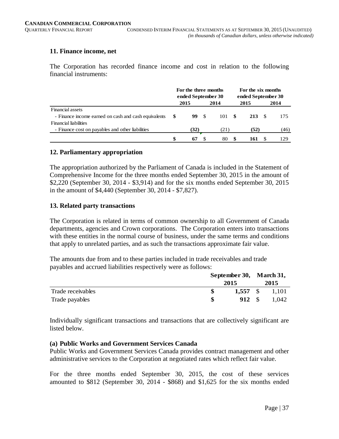# **11. Finance income, net**

The Corporation has recorded finance income and cost in relation to the following financial instruments:

|                                                      | For the three months<br>ended September 30 |      |  |      | For the six months<br>ended September 30 |      |     |      |
|------------------------------------------------------|--------------------------------------------|------|--|------|------------------------------------------|------|-----|------|
|                                                      |                                            | 2015 |  | 2014 |                                          | 2015 |     | 2014 |
| Financial assets                                     |                                            |      |  |      |                                          |      |     |      |
| - Finance income earned on cash and cash equivalents | - SS                                       | 99 S |  | 101  | - SS                                     | 213  | - S | 175  |
| <b>Financial liabilities</b>                         |                                            |      |  |      |                                          |      |     |      |
| - Finance cost on payables and other liabilities     |                                            | (32) |  | (21) |                                          | (52) |     | (46) |
|                                                      | \$                                         | 67   |  | 80   |                                          | 161  |     | 129  |

#### **12. Parliamentary appropriation**

The appropriation authorized by the Parliament of Canada is included in the Statement of Comprehensive Income for the three months ended September 30, 2015 in the amount of \$2,220 (September 30, 2014 - \$3,914) and for the six months ended September 30, 2015 in the amount of \$4,440 (September 30, 2014 - \$7,827).

#### **13. Related party transactions**

The Corporation is related in terms of common ownership to all Government of Canada departments, agencies and Crown corporations. The Corporation enters into transactions with these entities in the normal course of business, under the same terms and conditions that apply to unrelated parties, and as such the transactions approximate fair value.

The amounts due from and to these parties included in trade receivables and trade payables and accrued liabilities respectively were as follows:

|                   | September 30, March 31,<br>2015 |            |  | 2015   |  |  |
|-------------------|---------------------------------|------------|--|--------|--|--|
|                   |                                 |            |  |        |  |  |
| Trade receivables |                                 | $1,557$ \$ |  | -1.101 |  |  |
| Trade payables    | \$.                             | 912 S      |  | 1.042  |  |  |

Individually significant transactions and transactions that are collectively significant are listed below.

# **(a) Public Works and Government Services Canada**

Public Works and Government Services Canada provides contract management and other administrative services to the Corporation at negotiated rates which reflect fair value.

For the three months ended September 30, 2015, the cost of these services amounted to \$812 (September 30, 2014 - \$868) and \$1,625 for the six months ended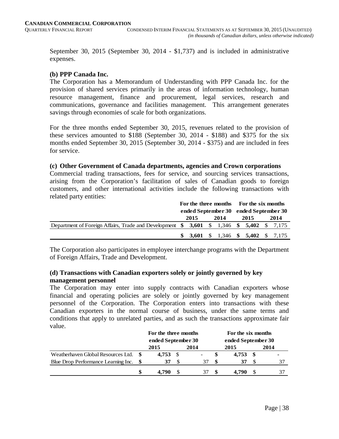September 30, 2015 (September 30, 2014 - \$1,737) and is included in administrative expenses.

# **(b) PPP Canada Inc.**

The Corporation has a Memorandum of Understanding with PPP Canada Inc. for the provision of shared services primarily in the areas of information technology, human resource management, finance and procurement, legal services, research and communications, governance and facilities management. This arrangement generates savings through economies of scale for both organizations.

For the three months ended September 30, 2015, revenues related to the provision of these services amounted to \$188 (September 30, 2014 - \$188) and \$375 for the six months ended September 30, 2015 (September 30, 2014 - \$375) and are included in fees for service.

#### **(c) Other Government of Canada departments, agencies and Crown corporations**

Commercial trading transactions, fees for service, and sourcing services transactions, arising from the Corporation's facilitation of sales of Canadian goods to foreign customers, and other international activities include the following transactions with related party entities:

|                                                                                                | For the three months For the six months |      |  |      |                                       |                                     |  |      |
|------------------------------------------------------------------------------------------------|-----------------------------------------|------|--|------|---------------------------------------|-------------------------------------|--|------|
|                                                                                                |                                         |      |  |      | ended September 30 ended September 30 |                                     |  |      |
|                                                                                                |                                         | 2015 |  | 2014 |                                       | 2015                                |  | 2014 |
| Department of Foreign Affairs, Trade and Development \$ 3,601 \ \$ 1,346 \ \$ 5,402 \ \$ 7,175 |                                         |      |  |      |                                       |                                     |  |      |
|                                                                                                |                                         |      |  |      |                                       | \$ 3,601 \$ 1,346 \$ 5,402 \$ 7,175 |  |      |

The Corporation also participates in employee interchange programs with the Department of Foreign Affairs, Trade and Development.

# **(d) Transactions with Canadian exporters solely or jointly governed by key management personnel**

The Corporation may enter into supply contracts with Canadian exporters whose financial and operating policies are solely or jointly governed by key management personnel of the Corporation. The Corporation enters into transactions with these Canadian exporters in the normal course of business, under the same terms and conditions that apply to unrelated parties, and as such the transactions approximate fair value.

|                                        |   | For the three months<br>ended September 30 |               |      | For the six months<br>ended September 30 |       |      |                |
|----------------------------------------|---|--------------------------------------------|---------------|------|------------------------------------------|-------|------|----------------|
|                                        |   | 2015                                       |               | 2014 |                                          | 2015  |      | 2014           |
| Weatherhaven Global Resources Ltd. \$  |   | $4,753$ \$                                 |               | -    |                                          | 4.753 | - \$ | $\blacksquare$ |
| Blue Drop Performance Learning Inc. \$ |   | 37                                         | <sup>\$</sup> | 37   | -S                                       | 37    | -S   | 37             |
|                                        | S | 4.790                                      |               |      | S                                        | 4.790 |      |                |